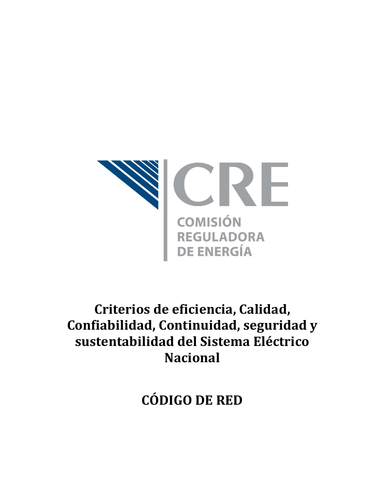

# **Criterios de eficiencia, Calidad, Confiabilidad, Continuidad, seguridad y sustentabilidad del Sistema Eléctrico Nacional**

**CÓDIGO DE RED**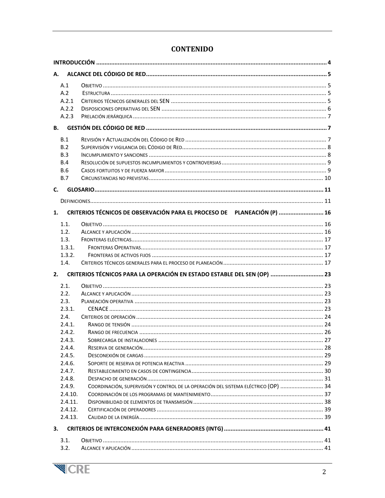| А.                           |                                                                                    |  |  |
|------------------------------|------------------------------------------------------------------------------------|--|--|
| A.1<br>A.2<br>A.2.1<br>A.2.2 |                                                                                    |  |  |
| A.2.3                        |                                                                                    |  |  |
| В.                           |                                                                                    |  |  |
| B.1                          |                                                                                    |  |  |
| B.2                          |                                                                                    |  |  |
| <b>B.3</b>                   |                                                                                    |  |  |
| B.4                          |                                                                                    |  |  |
| <b>B.6</b>                   |                                                                                    |  |  |
| <b>B.7</b>                   |                                                                                    |  |  |
| C.                           |                                                                                    |  |  |
|                              |                                                                                    |  |  |
| 1.                           | CRITERIOS TÉCNICOS DE OBSERVACIÓN PARA EL PROCESO DE PLANEACIÓN (P)  16            |  |  |
| 1.1.                         |                                                                                    |  |  |
| 1.2.                         |                                                                                    |  |  |
| 1.3.                         |                                                                                    |  |  |
| 1.3.1.                       |                                                                                    |  |  |
| 1.3.2.                       |                                                                                    |  |  |
| 1.4.                         |                                                                                    |  |  |
| 2.                           | CRITERIOS TÉCNICOS PARA LA OPERACIÓN EN ESTADO ESTABLE DEL SEN (OP)  23            |  |  |
| 2.1.                         |                                                                                    |  |  |
| 2.2.                         |                                                                                    |  |  |
| 2.3.                         |                                                                                    |  |  |
| 2.3.1.                       |                                                                                    |  |  |
| 2.4.                         |                                                                                    |  |  |
| 2.4.1.                       |                                                                                    |  |  |
| 2.4.2.                       |                                                                                    |  |  |
| 2.4.3.                       |                                                                                    |  |  |
| 7.4.4.                       |                                                                                    |  |  |
| 2.4.5.                       |                                                                                    |  |  |
| 2.4.6.                       |                                                                                    |  |  |
| 2.4.7.                       |                                                                                    |  |  |
| 2.4.8.                       | COORDINACIÓN, SUPERVISIÓN Y CONTROL DE LA OPERACIÓN DEL SISTEMA ELÉCTRICO (OP)  34 |  |  |
| 2.4.9.                       |                                                                                    |  |  |
| 2.4.10.<br>2.4.11.           |                                                                                    |  |  |
| 2.4.12.                      |                                                                                    |  |  |
| 2.4.13.                      |                                                                                    |  |  |
|                              |                                                                                    |  |  |
| 3.                           |                                                                                    |  |  |
| 3.1.                         |                                                                                    |  |  |
| 3.2.                         |                                                                                    |  |  |

# **CONTENIDO**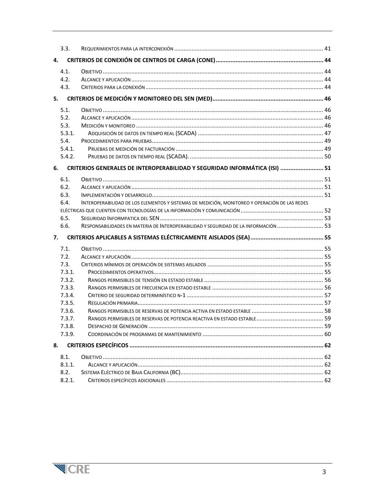| 3.3.   |                                                                                               |  |
|--------|-----------------------------------------------------------------------------------------------|--|
| 4.     |                                                                                               |  |
| 4.1.   |                                                                                               |  |
| 4.2.   |                                                                                               |  |
| 4.3.   |                                                                                               |  |
| 5.     |                                                                                               |  |
| 5.1.   |                                                                                               |  |
| 5.2.   |                                                                                               |  |
| 5.3.   |                                                                                               |  |
| 5.3.1. |                                                                                               |  |
| 5.4.   |                                                                                               |  |
| 5.4.1. |                                                                                               |  |
| 5.4.2. |                                                                                               |  |
| 6.     | CRITERIOS GENERALES DE INTEROPERABILIDAD Y SEGURIDAD INFORMÁTICA (ISI)  51                    |  |
| 6.1.   |                                                                                               |  |
| 6.2.   |                                                                                               |  |
| 6.3.   |                                                                                               |  |
| 6.4.   | INTEROPERABILIDAD DE LOS ELEMENTOS Y SISTEMAS DE MEDICIÓN, MONITOREO Y OPERACIÓN DE LAS REDES |  |
|        |                                                                                               |  |
| 6.5.   |                                                                                               |  |
| 6.6.   | RESPONSABILIDADES EN MATERIA DE INTEROPERABILIDAD Y SEGURIDAD DE LA INFORMACIÓN  53           |  |
| 7.     |                                                                                               |  |
| 7.1.   |                                                                                               |  |
| 7.2.   |                                                                                               |  |
| 7.3.   |                                                                                               |  |
| 7.3.1. |                                                                                               |  |
| 7.3.2. |                                                                                               |  |
| 7.3.3. |                                                                                               |  |
| 7.3.4. |                                                                                               |  |
| 7.3.5. |                                                                                               |  |
| 7.3.6. |                                                                                               |  |
| 7.3.7. |                                                                                               |  |
| 7.3.8. |                                                                                               |  |
| 7.3.9. |                                                                                               |  |
| 8.     |                                                                                               |  |
| 8.1.   |                                                                                               |  |
| 8.1.1. |                                                                                               |  |
| 8.2.   |                                                                                               |  |
| 8.2.1. |                                                                                               |  |

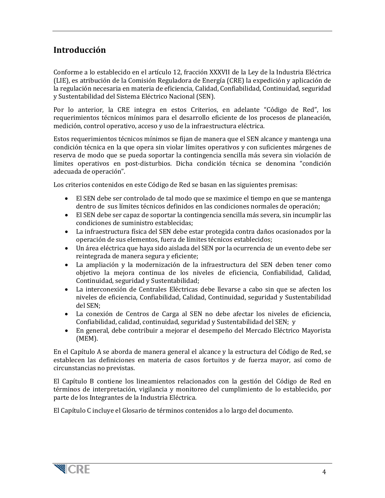# <span id="page-3-0"></span>**Introducción**

Conforme a lo establecido en el artículo 12, fracción XXXVII de la Ley de la Industria Eléctrica (LIE), es atribución de la Comisión Reguladora de Energía (CRE) la expedición y aplicación de la regulación necesaria en materia de eficiencia, Calidad, Confiabilidad, Continuidad, seguridad y Sustentabilidad del Sistema Eléctrico Nacional (SEN).

Por lo anterior, la CRE integra en estos Criterios, en adelante "Código de Red", los requerimientos técnicos mínimos para el desarrollo eficiente de los procesos de planeación, medición, control operativo, acceso y uso de la infraestructura eléctrica.

Estos requerimientos técnicos mínimos se fijan de manera que el SEN alcance y mantenga una condición técnica en la que opera sin violar límites operativos y con suficientes márgenes de reserva de modo que se pueda soportar la contingencia sencilla más severa sin violación de límites operativos en post-disturbios. Dicha condición técnica se denomina "condición adecuada de operación".

Los criterios contenidos en este Código de Red se basan en las siguientes premisas:

- El SEN debe ser controlado de tal modo que se maximice el tiempo en que se mantenga dentro de sus límites técnicos definidos en las condiciones normales de operación;
- El SEN debe ser capaz de soportar la contingencia sencilla más severa, sin incumplir las condiciones de suministro establecidas;
- La infraestructura física del SEN debe estar protegida contra daños ocasionados por la operación de sus elementos, fuera de límites técnicos establecidos;
- Un área eléctrica que haya sido aislada del SEN por la ocurrencia de un evento debe ser reintegrada de manera segura y eficiente;
- La ampliación y la modernización de la infraestructura del SEN deben tener como objetivo la mejora continua de los niveles de eficiencia, Confiabilidad, Calidad, Continuidad, seguridad y Sustentabilidad;
- La interconexión de Centrales Eléctricas debe llevarse a cabo sin que se afecten los niveles de eficiencia, Confiabilidad, Calidad, Continuidad, seguridad y Sustentabilidad del SEN;
- La conexión de Centros de Carga al SEN no debe afectar los niveles de eficiencia, Confiabilidad, calidad, continuidad, seguridad y Sustentabilidad del SEN; y
- En general, debe contribuir a mejorar el desempeño del Mercado Eléctrico Mayorista (MEM).

En el Capítulo A se aborda de manera general el alcance y la estructura del Código de Red, se establecen las definiciones en materia de casos fortuitos y de fuerza mayor, así como de circunstancias no previstas.

El Capítulo B contiene los lineamientos relacionados con la gestión del Código de Red en términos de interpretación, vigilancia y monitoreo del cumplimiento de lo establecido, por parte de los Integrantes de la Industria Eléctrica.

El Capítulo C incluye el Glosario de términos contenidos a lo largo del documento.

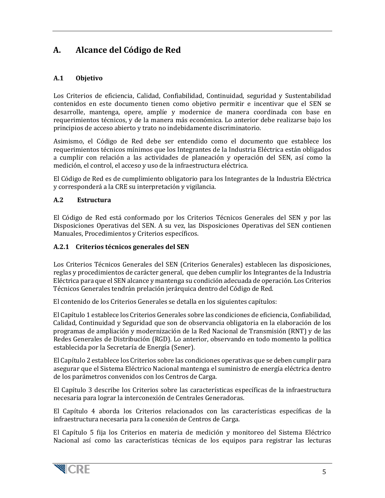# <span id="page-4-0"></span>**A. Alcance del Código de Red**

# <span id="page-4-1"></span>**A.1 Objetivo**

Los Criterios de eficiencia, Calidad, Confiabilidad, Continuidad, seguridad y Sustentabilidad contenidos en este documento tienen como objetivo permitir e incentivar que el SEN se desarrolle, mantenga, opere, amplíe y modernice de manera coordinada con base en requerimientos técnicos, y de la manera más económica. Lo anterior debe realizarse bajo los principios de acceso abierto y trato no indebidamente discriminatorio.

Asimismo, el Código de Red debe ser entendido como el documento que establece los requerimientos técnicos mínimos que los Integrantes de la Industria Eléctrica están obligados a cumplir con relación a las actividades de planeación y operación del SEN, así como la medición, el control, el acceso y uso de la infraestructura eléctrica.

El Código de Red es de cumplimiento obligatorio para los Integrantes de la Industria Eléctrica y corresponderá a la CRE su interpretación y vigilancia.

#### <span id="page-4-2"></span>**A.2 Estructura**

El Código de Red está conformado por los Criterios Técnicos Generales del SEN y por las Disposiciones Operativas del SEN. A su vez, las Disposiciones Operativas del SEN contienen Manuales, Procedimientos y Criterios específicos.

#### <span id="page-4-3"></span>**A.2.1 Criterios técnicos generales del SEN**

Los Criterios Técnicos Generales del SEN (Criterios Generales) establecen las disposiciones, reglas y procedimientos de carácter general, que deben cumplir los Integrantes de la Industria Eléctrica para que el SEN alcance y mantenga su condición adecuada de operación. Los Criterios Técnicos Generales tendrán prelación jerárquica dentro del Código de Red.

El contenido de los Criterios Generales se detalla en los siguientes capítulos:

El Capítulo 1 establece los Criterios Generales sobre las condiciones de eficiencia, Confiabilidad, Calidad, Continuidad y Seguridad que son de observancia obligatoria en la elaboración de los programas de ampliación y modernización de la Red Nacional de Transmisión (RNT) y de las Redes Generales de Distribución (RGD). Lo anterior, observando en todo momento la política establecida por la Secretaría de Energía (Sener).

El Capítulo 2 establece los Criterios sobre las condiciones operativas que se deben cumplir para asegurar que el Sistema Eléctrico Nacional mantenga el suministro de energía eléctrica dentro de los parámetros convenidos con los Centros de Carga.

El Capítulo 3 describe los Criterios sobre las características específicas de la infraestructura necesaria para lograr la interconexión de Centrales Generadoras.

El Capítulo 4 aborda los Criterios relacionados con las características específicas de la infraestructura necesaria para la conexión de Centros de Carga.

El Capítulo 5 fija los Criterios en materia de medición y monitoreo del Sistema Eléctrico Nacional así como las características técnicas de los equipos para registrar las lecturas

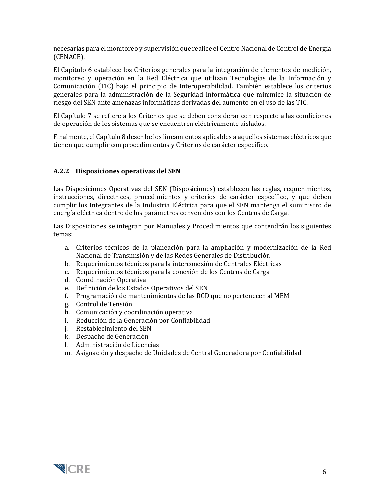necesarias para el monitoreo y supervisión que realice el Centro Nacional de Control de Energía (CENACE).

El Capítulo 6 establece los Criterios generales para la integración de elementos de medición, monitoreo y operación en la Red Eléctrica que utilizan Tecnologías de la Información y Comunicación (TIC) bajo el principio de Interoperabilidad. También establece los criterios generales para la administración de la Seguridad Informática que minimice la situación de riesgo del SEN ante amenazas informáticas derivadas del aumento en el uso de las TIC.

El Capítulo 7 se refiere a los Criterios que se deben considerar con respecto a las condiciones de operación de los sistemas que se encuentren eléctricamente aislados.

Finalmente, el Capítulo 8 describe los lineamientos aplicables a aquellos sistemas eléctricos que tienen que cumplir con procedimientos y Criterios de carácter específico.

#### <span id="page-5-0"></span>**A.2.2 Disposiciones operativas del SEN**

Las Disposiciones Operativas del SEN (Disposiciones) establecen las reglas, requerimientos, instrucciones, directrices, procedimientos y criterios de carácter específico, y que deben cumplir los Integrantes de la Industria Eléctrica para que el SEN mantenga el suministro de energía eléctrica dentro de los parámetros convenidos con los Centros de Carga.

Las Disposiciones se integran por Manuales y Procedimientos que contendrán los siguientes temas:

- a. Criterios técnicos de la planeación para la ampliación y modernización de la Red Nacional de Transmisión y de las Redes Generales de Distribución
- b. Requerimientos técnicos para la interconexión de Centrales Eléctricas
- c. Requerimientos técnicos para la conexión de los Centros de Carga
- d. Coordinación Operativa
- e. Definición de los Estados Operativos del SEN
- f. Programación de mantenimientos de las RGD que no pertenecen al MEM
- g. Control de Tensión
- h. Comunicación y coordinación operativa
- i. Reducción de la Generación por Confiabilidad
- j. Restablecimiento del SEN
- k. Despacho de Generación
- l. Administración de Licencias
- m. Asignación y despacho de Unidades de Central Generadora por Confiabilidad

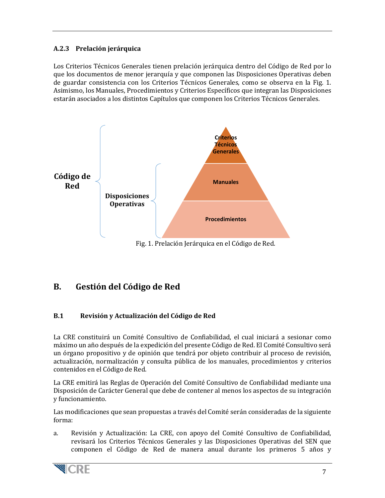# <span id="page-6-0"></span>**A.2.3 Prelación jerárquica**

Los Criterios Técnicos Generales tienen prelación jerárquica dentro del Código de Red por lo que los documentos de menor jerarquía y que componen las Disposiciones Operativas deben de guardar consistencia con los Criterios Técnicos Generales, como se observa en la Fig. 1. Asimismo, los Manuales, Procedimientos y Criterios Específicos que integran las Disposiciones estarán asociados a los distintos Capítulos que componen los Criterios Técnicos Generales.



Fig. 1. Prelación Jerárquica en el Código de Red.

# <span id="page-6-1"></span>**B. Gestión del Código de Red**

# <span id="page-6-2"></span>**B.1 Revisión y Actualización del Código de Red**

La CRE constituirá un Comité Consultivo de Confiabilidad, el cual iniciará a sesionar como máximo un año después de la expedición del presente Código de Red. El Comité Consultivo será un órgano propositivo y de opinión que tendrá por objeto contribuir al proceso de revisión, actualización, normalización y consulta pública de los manuales, procedimientos y criterios contenidos en el Código de Red.

La CRE emitirá las Reglas de Operación del Comité Consultivo de Confiabilidad mediante una Disposición de Carácter General que debe de contener al menos los aspectos de su integración y funcionamiento.

Las modificaciones que sean propuestas a través del Comité serán consideradas de la siguiente forma:

a. Revisión y Actualización: La CRE, con apoyo del Comité Consultivo de Confiabilidad, revisará los Criterios Técnicos Generales y las Disposiciones Operativas del SEN que componen el Código de Red de manera anual durante los primeros 5 años y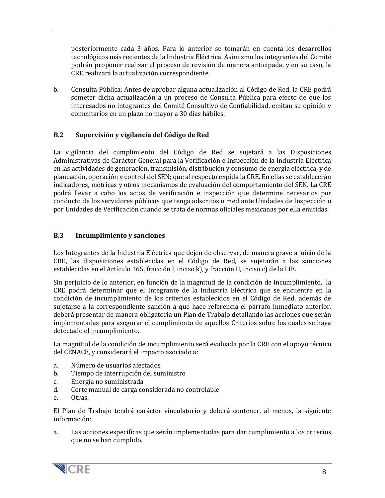posteriormente cada 3 años. Para lo anterior se tomarán en cuenta los desarrollos tecnológicos más recientes de la Industria Eléctrica. Asimismo los integrantes del Comité podrán proponer realizar el proceso de revisión de manera anticipada, y en su caso, la CRE realizará la actualización correspondiente.

b. Consulta Pública: Antes de aprobar alguna actualización al Código de Red, la CRE podrá someter dicha actualización a un proceso de Consulta Pública para efecto de que los interesados no integrantes del Comité Consultivo de Confiabilidad, emitan su opinión y comentarios en un plazo no mayor a 30 días hábiles.

#### <span id="page-7-0"></span>**B.2 Supervisión y vigilancia del Código de Red**

La vigilancia del cumplimiento del Código de Red se sujetará a las Disposiciones Administrativas de Carácter General para la Verificación e Inspección de la Industria Eléctrica en las actividades de generación, transmisión, distribución y consumo de energía eléctrica, y de planeación, operación y control del SEN; que al respecto expida la CRE. En ellas se establecerán indicadores, métricas y otros mecanismos de evaluación del comportamiento del SEN. La CRE podrá llevar a cabo los actos de verificación e inspección que determine necesarios por conducto de los servidores públicos que tenga adscritos o mediante Unidades de Inspección o por Unidades de Verificación cuando se trata de normas oficiales mexicanas por ella emitidas.

#### <span id="page-7-1"></span>**B.3 Incumplimiento y sanciones**

Los Integrantes de la Industria Eléctrica que dejen de observar, de manera grave a juicio de la CRE, las disposiciones establecidas en el Código de Red, se sujetarán a las sanciones establecidas en el Artículo 165, fracción I, inciso k), y fracción II, inciso c) de la LIE.

Sin perjuicio de lo anterior, en función de la magnitud de la condición de incumplimiento, la CRE podrá determinar que el Integrante de la Industria Eléctrica que se encuentre en la condición de incumplimiento de los criterios establecidos en el Código de Red, además de sujetarse a la correspondiente sanción a que hace referencia el párrafo inmediato anterior, deberá presentar de manera obligatoria un Plan de Trabajo detallando las acciones que serán implementadas para asegurar el cumplimiento de aquellos Criterios sobre los cuales se haya detectado el incumplimiento.

La magnitud de la condición de incumplimiento será evaluada por la CRE con el apoyo técnico del CENACE, y considerará el impacto asociado a:

- a. Número de usuarios afectados
- b. Tiempo de interrupción del suministro<br>c. Energía no suministrada
- c. Energía no suministrada
- d. Corte manual de carga considerada no controlable
- Otras.

El Plan de Trabajo tendrá carácter vinculatorio y deberá contener, al menos, la siguiente información:

a. Las acciones específicas que serán implementadas para dar cumplimiento a los criterios que no se han cumplido.

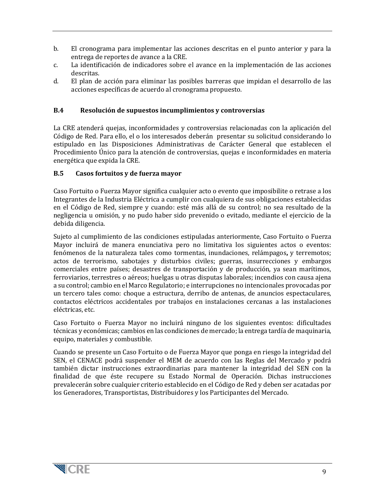- b. El cronograma para implementar las acciones descritas en el punto anterior y para la entrega de reportes de avance a la CRE.
- c. La identificación de indicadores sobre el avance en la implementación de las acciones descritas.
- d. El plan de acción para eliminar las posibles barreras que impidan el desarrollo de las acciones específicas de acuerdo al cronograma propuesto.

#### <span id="page-8-0"></span>**B.4 Resolución de supuestos incumplimientos y controversias**

La CRE atenderá quejas, inconformidades y controversias relacionadas con la aplicación del Código de Red. Para ello, el o los interesados deberán presentar su solicitud considerando lo estipulado en las Disposiciones Administrativas de Carácter General que establecen el Procedimiento Único para la atención de controversias, quejas e inconformidades en materia energética que expida la CRE.

#### <span id="page-8-1"></span>**B.5 Casos fortuitos y de fuerza mayor**

Caso Fortuito o Fuerza Mayor significa cualquier acto o evento que imposibilite o retrase a los Integrantes de la Industria Eléctrica a cumplir con cualquiera de sus obligaciones establecidas en el Código de Red, siempre y cuando: esté más allá de su control; no sea resultado de la negligencia u omisión, y no pudo haber sido prevenido o evitado, mediante el ejercicio de la debida diligencia.

Sujeto al cumplimiento de las condiciones estipuladas anteriormente, Caso Fortuito o Fuerza Mayor incluirá de manera enunciativa pero no limitativa los siguientes actos o eventos: fenómenos de la naturaleza tales como tormentas, inundaciones, relámpagos**,** y terremotos; actos de terrorismo, sabotajes y disturbios civiles; guerras, insurrecciones y embargos comerciales entre países; desastres de transportación y de producción, ya sean marítimos, ferroviarios, terrestres o aéreos; huelgas u otras disputas laborales; incendios con causa ajena a su control; cambio en el Marco Regulatorio; e interrupciones no intencionales provocadas por un tercero tales como: choque a estructura, derribo de antenas, de anuncios espectaculares, contactos eléctricos accidentales por trabajos en instalaciones cercanas a las instalaciones eléctricas, etc.

Caso Fortuito o Fuerza Mayor no incluirá ninguno de los siguientes eventos: dificultades técnicas y económicas; cambios en las condiciones de mercado; la entrega tardía de maquinaria, equipo, materiales y combustible.

Cuando se presente un Caso Fortuito o de Fuerza Mayor que ponga en riesgo la integridad del SEN, el CENACE podrá suspender el MEM de acuerdo con las Reglas del Mercado y podrá también dictar instrucciones extraordinarias para mantener la integridad del SEN con la finalidad de que éste recupere su Estado Normal de Operación. Dichas instrucciones prevalecerán sobre cualquier criterio establecido en el Código de Red y deben ser acatadas por los Generadores, Transportistas, Distribuidores y los Participantes del Mercado.

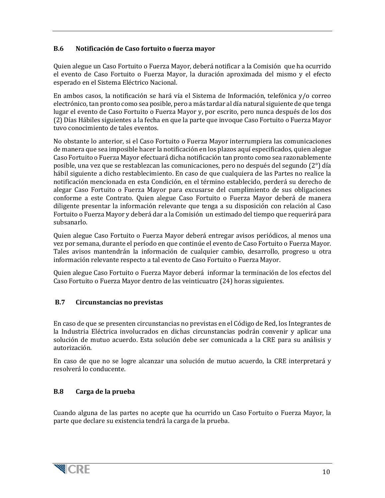# **B.6 Notificación de Caso fortuito o fuerza mayor**

Quien alegue un Caso Fortuito o Fuerza Mayor, deberá notificar a la Comisión que ha ocurrido el evento de Caso Fortuito o Fuerza Mayor, la duración aproximada del mismo y el efecto esperado en el Sistema Eléctrico Nacional.

En ambos casos, la notificación se hará vía el Sistema de Información, telefónica y/o correo electrónico, tan pronto como sea posible, pero a más tardar al día natural siguiente de que tenga lugar el evento de Caso Fortuito o Fuerza Mayor y, por escrito, pero nunca después de los dos (2) Días Hábiles siguientes a la fecha en que la parte que invoque Caso Fortuito o Fuerza Mayor tuvo conocimiento de tales eventos.

No obstante lo anterior, si el Caso Fortuito o Fuerza Mayor interrumpiera las comunicaciones de manera que sea imposible hacer la notificación en los plazos aquí especificados, quien alegue Caso Fortuito o Fuerza Mayor efectuará dicha notificación tan pronto como sea razonablemente posible, una vez que se restablezcan las comunicaciones, pero no después del segundo (2°) día hábil siguiente a dicho restablecimiento. En caso de que cualquiera de las Partes no realice la notificación mencionada en esta Condición, en el término establecido, perderá su derecho de alegar Caso Fortuito o Fuerza Mayor para excusarse del cumplimiento de sus obligaciones conforme a este Contrato. Quien alegue Caso Fortuito o Fuerza Mayor deberá de manera diligente presentar la información relevante que tenga a su disposición con relación al Caso Fortuito o Fuerza Mayor y deberá dar a la Comisión un estimado del tiempo que requerirá para subsanarlo.

Quien alegue Caso Fortuito o Fuerza Mayor deberá entregar avisos periódicos, al menos una vez por semana, durante el período en que continúe el evento de Caso Fortuito o Fuerza Mayor. Tales avisos mantendrán la información de cualquier cambio, desarrollo, progreso u otra información relevante respecto a tal evento de Caso Fortuito o Fuerza Mayor.

Quien alegue Caso Fortuito o Fuerza Mayor deberá informar la terminación de los efectos del Caso Fortuito o Fuerza Mayor dentro de las veinticuatro (24) horas siguientes.

#### <span id="page-9-0"></span>**B.7 Circunstancias no previstas**

En caso de que se presenten circunstancias no previstas en el Código de Red, los Integrantes de la Industria Eléctrica involucrados en dichas circunstancias podrán convenir y aplicar una solución de mutuo acuerdo. Esta solución debe ser comunicada a la CRE para su análisis y autorización.

En caso de que no se logre alcanzar una solución de mutuo acuerdo, la CRE interpretará y resolverá lo conducente.

#### **B.8 Carga de la prueba**

Cuando alguna de las partes no acepte que ha ocurrido un Caso Fortuito o Fuerza Mayor, la parte que declare su existencia tendrá la carga de la prueba.

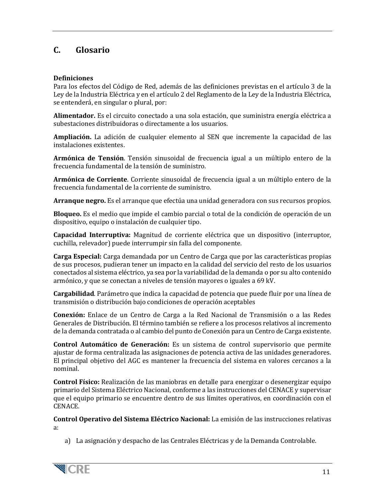# <span id="page-10-0"></span>**C. Glosario**

#### <span id="page-10-1"></span>**Definiciones**

Para los efectos del Código de Red, además de las definiciones previstas en el artículo 3 de la Ley de la Industria Eléctrica y en el artículo 2 del Reglamento de la Ley de la Industria Eléctrica, se entenderá, en singular o plural, por:

**Alimentador.** Es el circuito conectado a una sola estación, que suministra energía eléctrica a subestaciones distribuidoras o directamente a los usuarios.

**Ampliación.** La adición de cualquier elemento al SEN que incremente la capacidad de las instalaciones existentes.

**Armónica de Tensión**. Tensión sinusoidal de frecuencia igual a un múltiplo entero de la frecuencia fundamental de la tensión de suministro.

**Armónica de Corriente**. Corriente sinusoidal de frecuencia igual a un múltiplo entero de la frecuencia fundamental de la corriente de suministro.

**Arranque negro.** Es el arranque que efectúa una unidad generadora con sus recursos propios.

**Bloqueo.** Es el medio que impide el cambio parcial o total de la condición de operación de un dispositivo, equipo o instalación de cualquier tipo.

**Capacidad Interruptiva:** Magnitud de corriente eléctrica que un dispositivo (interruptor, cuchilla, relevador) puede interrumpir sin falla del componente.

**Carga Especial:** Carga demandada por un Centro de Carga que por las características propias de sus procesos, pudieran tener un impacto en la calidad del servicio del resto de los usuarios conectados al sistema eléctrico, ya sea por la variabilidad de la demanda o por su alto contenido armónico, y que se conectan a niveles de tensión mayores o iguales a 69 kV.

**Cargabilidad**. Parámetro que indica la capacidad de potencia que puede fluir por una línea de transmisión o distribución bajo condiciones de operación aceptables

**Conexión:** Enlace de un Centro de Carga a la Red Nacional de Transmisión o a las Redes Generales de Distribución. El término también se refiere a los procesos relativos al incremento de la demanda contratada o al cambio del punto de Conexión para un Centro de Carga existente.

**Control Automático de Generación:** Es un sistema de control supervisorio que permite ajustar de forma centralizada las asignaciones de potencia activa de las unidades generadores. El principal objetivo del AGC es mantener la frecuencia del sistema en valores cercanos a la nominal.

**Control Físico:** Realización de las maniobras en detalle para energizar o desenergizar equipo primario del Sistema Eléctrico Nacional, conforme a las instrucciones del CENACE y supervisar que el equipo primario se encuentre dentro de sus límites operativos, en coordinación con el CENACE.

**Control Operativo del Sistema Eléctrico Nacional:** La emisión de las instrucciones relativas a:

a) La asignación y despacho de las Centrales Eléctricas y de la Demanda Controlable.

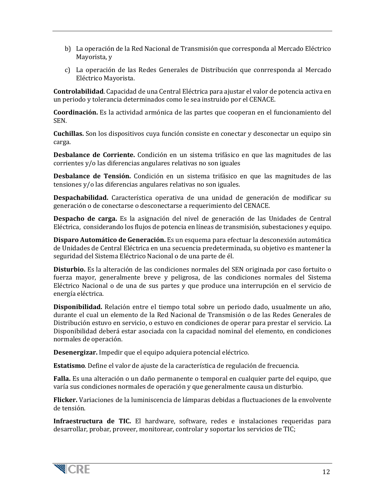- b) La operación de la Red Nacional de Transmisión que corresponda al Mercado Eléctrico Mayorista, y
- c) La operación de las Redes Generales de Distribución que conrresponda al Mercado Eléctrico Mayorista.

**Controlabilidad**. Capacidad de una Central Eléctrica para ajustar el valor de potencia activa en un periodo y tolerancia determinados como le sea instruido por el CENACE.

**Coordinación.** Es la actividad armónica de las partes que cooperan en el funcionamiento del SEN.

**Cuchillas.** Son los dispositivos cuya función consiste en conectar y desconectar un equipo sin carga.

**Desbalance de Corriente.** Condición en un sistema trifásico en que las magnitudes de las corrientes y/o las diferencias angulares relativas no son iguales

**Desbalance de Tensión.** Condición en un sistema trifásico en que las magnitudes de las tensiones y/o las diferencias angulares relativas no son iguales.

**Despachabilidad.** Característica operativa de una unidad de generación de modificar su generación o de conectarse o desconectarse a requerimiento del CENACE.

**Despacho de carga.** Es la asignación del nivel de generación de las Unidades de Central Eléctrica, considerando los flujos de potencia en líneas de transmisión, subestaciones y equipo.

**Disparo Automático de Generación.** Es un esquema para efectuar la desconexión automática de Unidades de Central Eléctrica en una secuencia predeterminada, su objetivo es mantener la seguridad del Sistema Eléctrico Nacional o de una parte de él.

**Disturbio.** Es la alteración de las condiciones normales del SEN originada por caso fortuito o fuerza mayor, generalmente breve y peligrosa, de las condiciones normales del Sistema Eléctrico Nacional o de una de sus partes y que produce una interrupción en el servicio de energía eléctrica.

**Disponibilidad.** Relación entre el tiempo total sobre un periodo dado, usualmente un año, durante el cual un elemento de la Red Nacional de Transmisión o de las Redes Generales de Distribución estuvo en servicio, o estuvo en condiciones de operar para prestar el servicio. La Disponibilidad deberá estar asociada con la capacidad nominal del elemento, en condiciones normales de operación.

**Desenergizar.** Impedir que el equipo adquiera potencial eléctrico.

**Estatismo**. Define el valor de ajuste de la característica de regulación de frecuencia.

**Falla.** Es una alteración o un daño permanente o temporal en cualquier parte del equipo, que varía sus condiciones normales de operación y que generalmente causa un disturbio.

**Flicker.** Variaciones de la luminiscencia de lámparas debidas a fluctuaciones de la envolvente de tensión.

**Infraestructura de TIC.** El hardware, software, redes e instalaciones requeridas para desarrollar, probar, proveer, monitorear, controlar y soportar los servicios de TIC;

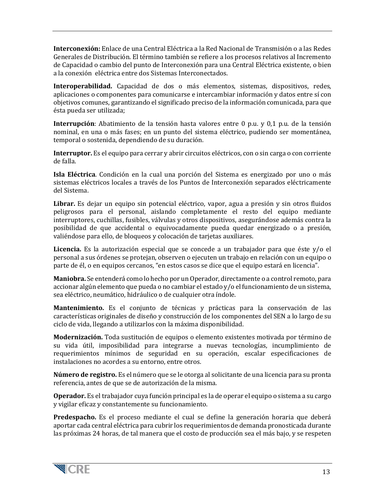**Interconexión:** Enlace de una Central Eléctrica a la Red Nacional de Transmisión o a las Redes Generales de Distribución. El término también se refiere a los procesos relativos al Incremento de Capacidad o cambio del punto de Interconexión para una Central Eléctrica existente, o bien a la conexión eléctrica entre dos Sistemas Interconectados.

**Interoperabilidad.** Capacidad de dos o más elementos, sistemas, dispositivos, redes, aplicaciones o componentes para comunicarse e intercambiar información y datos entre sí con objetivos comunes, garantizando el significado preciso de la información comunicada, para que ésta pueda ser utilizada;

**Interrupción**: Abatimiento de la tensión hasta valores entre 0 p.u. y 0,1 p.u. de la tensión nominal, en una o más fases; en un punto del sistema eléctrico, pudiendo ser momentánea, temporal o sostenida, dependiendo de su duración.

**Interruptor.** Es el equipo para cerrar y abrir circuitos eléctricos, con o sin carga o con corriente de falla.

**Isla Eléctrica**. Condición en la cual una porción del Sistema es energizado por uno o más sistemas eléctricos locales a través de los Puntos de Interconexión separados eléctricamente del Sistema.

**Librar.** Es dejar un equipo sin potencial eléctrico, vapor, agua a presión y sin otros fluidos peligrosos para el personal, aislando completamente el resto del equipo mediante interruptores, cuchillas, fusibles, válvulas y otros dispositivos, asegurándose además contra la posibilidad de que accidental o equivocadamente pueda quedar energizado o a presión, valiéndose para ello, de bloqueos y colocación de tarjetas auxiliares.

**Licencia.** Es la autorización especial que se concede a un trabajador para que éste y/o el personal a sus órdenes se protejan, observen o ejecuten un trabajo en relación con un equipo o parte de él, o en equipos cercanos, "en estos casos se dice que el equipo estará en licencia".

**Maniobra.** Se entenderá como lo hecho por un Operador, directamente o a control remoto, para accionar algún elemento que pueda o no cambiar el estado y/o el funcionamiento de un sistema, sea eléctrico, neumático, hidráulico o de cualquier otra índole.

**Mantenimiento.** Es el conjunto de técnicas y prácticas para la conservación de las características originales de diseño y construcción de los componentes del SEN a lo largo de su ciclo de vida, llegando a utilizarlos con la máxima disponibilidad.

**Modernización.** Toda sustitución de equipos o elemento existentes motivada por término de su vida útil, imposibilidad para integrarse a nuevas tecnologías, incumplimiento de requerimientos mínimos de seguridad en su operación, escalar especificaciones de instalaciones no acordes a su entorno, entre otros.

**Número de registro.** Es el número que se le otorga al solicitante de una licencia para su pronta referencia, antes de que se de autorización de la misma.

**Operador.** Es el trabajador cuya función principal es la de operar el equipo o sistema a su cargo y vigilar eficaz y constantemente su funcionamiento.

**Predespacho.** Es el proceso mediante el cual se define la generación horaria que deberá aportar cada central eléctrica para cubrir los requerimientos de demanda pronosticada durante las próximas 24 horas, de tal manera que el costo de producción sea el más bajo, y se respeten

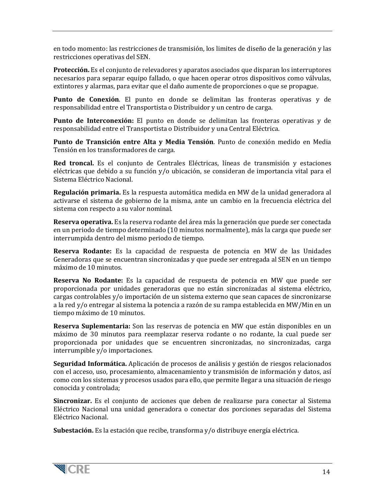en todo momento: las restricciones de transmisión, los limites de diseño de la generación y las restricciones operativas del SEN.

**Protección.** Es el conjunto de relevadores y aparatos asociados que disparan los interruptores necesarios para separar equipo fallado, o que hacen operar otros dispositivos como válvulas, extintores y alarmas, para evitar que el daño aumente de proporciones o que se propague.

**Punto de Conexión**. El punto en donde se delimitan las fronteras operativas y de responsabilidad entre el Transportista o Distribuidor y un centro de carga.

**Punto de Interconexión:** El punto en donde se delimitan las fronteras operativas y de responsabilidad entre el Transportista o Distribuidor y una Central Eléctrica.

**Punto de Transición entre Alta y Media Tensión**. Punto de conexión medido en Media Tensión en los transformadores de carga.

**Red troncal.** Es el conjunto de Centrales Eléctricas, líneas de transmisión y estaciones eléctricas que debido a su función y/o ubicación, se consideran de importancia vital para el Sistema Eléctrico Nacional.

**Regulación primaria.** Es la respuesta automática medida en MW de la unidad generadora al activarse el sistema de gobierno de la misma, ante un cambio en la frecuencia eléctrica del sistema con respecto a su valor nominal.

**Reserva operativa.** Es la reserva rodante del área más la generación que puede ser conectada en un periodo de tiempo determinado (10 minutos normalmente), más la carga que puede ser interrumpida dentro del mismo periodo de tiempo.

**Reserva Rodante:** Es la capacidad de respuesta de potencia en MW de las Unidades Generadoras que se encuentran sincronizadas y que puede ser entregada al SEN en un tiempo máximo de 10 minutos.

**Reserva No Rodante:** Es la capacidad de respuesta de potencia en MW que puede ser proporcionada por unidades generadoras que no están sincronizadas al sistema eléctrico, cargas controlables y/o importación de un sistema externo que sean capaces de sincronizarse a la red y/o entregar al sistema la potencia a razón de su rampa establecida en MW/Min en un tiempo máximo de 10 minutos.

**Reserva Suplementaria:** Son las reservas de potencia en MW que están disponibles en un máximo de 30 minutos para reemplazar reserva rodante o no rodante, la cual puede ser proporcionada por unidades que se encuentren sincronizadas, no sincronizadas, carga interrumpible y/o importaciones.

**Seguridad Informática.** Aplicación de procesos de análisis y gestión de riesgos relacionados con el acceso, uso, procesamiento, almacenamiento y transmisión de información y datos, así como con los sistemas y procesos usados para ello, que permite llegar a una situación de riesgo conocida y controlada;

**Sincronizar.** Es el conjunto de acciones que deben de realizarse para conectar al Sistema Eléctrico Nacional una unidad generadora o conectar dos porciones separadas del Sistema Eléctrico Nacional.

**Subestación.** Es la estación que recibe, transforma y/o distribuye energía eléctrica.

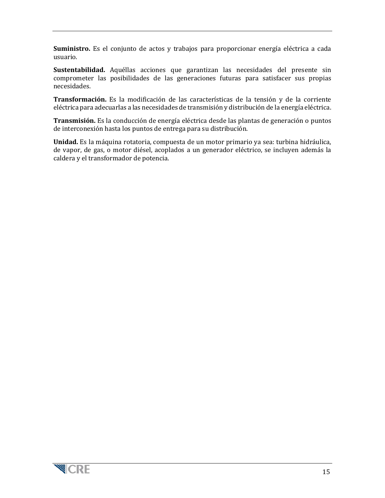**Suministro.** Es el conjunto de actos y trabajos para proporcionar energía eléctrica a cada usuario.

**Sustentabilidad.** Aquéllas acciones que garantizan las necesidades del presente sin comprometer las posibilidades de las generaciones futuras para satisfacer sus propias necesidades.

**Transformación.** Es la modificación de las características de la tensión y de la corriente eléctrica para adecuarlas a las necesidades de transmisión y distribución de la energía eléctrica.

**Transmisión.** Es la conducción de energía eléctrica desde las plantas de generación o puntos de interconexión hasta los puntos de entrega para su distribución.

**Unidad.** Es la máquina rotatoria, compuesta de un motor primario ya sea: turbina hidráulica, de vapor, de gas, o motor diésel, acoplados a un generador eléctrico, se incluyen además la caldera y el transformador de potencia.

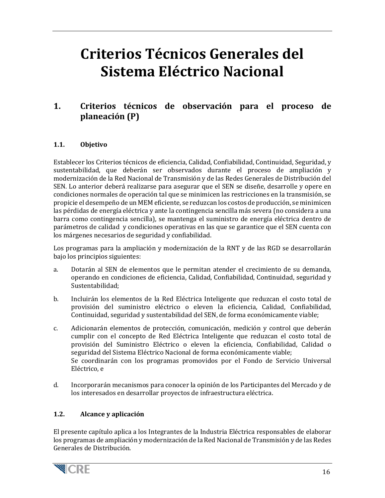# **Criterios Técnicos Generales del Sistema Eléctrico Nacional**

# <span id="page-15-0"></span>**1. Criterios técnicos de observación para el proceso de planeación (P)**

## <span id="page-15-1"></span>**1.1. Objetivo**

Establecer los Criterios técnicos de eficiencia, Calidad, Confiabilidad, Continuidad, Seguridad, y sustentabilidad, que deberán ser observados durante el proceso de ampliación y modernización de la Red Nacional de Transmisión y de las Redes Generales de Distribución del SEN. Lo anterior deberá realizarse para asegurar que el SEN se diseñe, desarrolle y opere en condiciones normales de operación tal que se minimicen las restricciones en la transmisión, se propicie el desempeño de un MEM eficiente, se reduzcan los costos de producción, se minimicen las pérdidas de energía eléctrica y ante la contingencia sencilla más severa (no considera a una barra como contingencia sencilla), se mantenga el suministro de energía eléctrica dentro de parámetros de calidad y condiciones operativas en las que se garantice que el SEN cuenta con los márgenes necesarios de seguridad y confiabilidad.

Los programas para la ampliación y modernización de la RNT y de las RGD se desarrollarán bajo los principios siguientes:

- a. Dotarán al SEN de elementos que le permitan atender el crecimiento de su demanda, operando en condiciones de eficiencia, Calidad, Confiabilidad, Continuidad, seguridad y Sustentabilidad;
- b. Incluirán los elementos de la Red Eléctrica Inteligente que reduzcan el costo total de provisión del suministro eléctrico o eleven la eficiencia, Calidad, Confiabilidad, Continuidad, seguridad y sustentabilidad del SEN, de forma económicamente viable;
- c. Adicionarán elementos de protección, comunicación, medición y control que deberán cumplir con el concepto de Red Eléctrica Inteligente que reduzcan el costo total de provisión del Suministro Eléctrico o eleven la eficiencia, Confiabilidad, Calidad o seguridad del Sistema Eléctrico Nacional de forma económicamente viable; Se coordinarán con los programas promovidos por el Fondo de Servicio Universal Eléctrico, e
- d. Incorporarán mecanismos para conocer la opinión de los Participantes del Mercado y de los interesados en desarrollar proyectos de infraestructura eléctrica.

#### <span id="page-15-2"></span>**1.2. Alcance y aplicación**

El presente capítulo aplica a los Integrantes de la Industria Eléctrica responsables de elaborar los programas de ampliación y modernización de la Red Nacional de Transmisión y de las Redes Generales de Distribución.

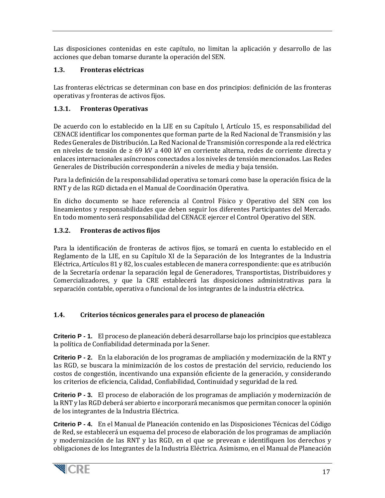Las disposiciones contenidas en este capítulo, no limitan la aplicación y desarrollo de las acciones que deban tomarse durante la operación del SEN.

# <span id="page-16-0"></span>**1.3. Fronteras eléctricas**

Las fronteras eléctricas se determinan con base en dos principios: definición de las fronteras operativas y fronteras de activos fijos.

# <span id="page-16-1"></span>**1.3.1. Fronteras Operativas**

De acuerdo con lo establecido en la LIE en su Capítulo I, Artículo 15, es responsabilidad del CENACE identificar los componentes que forman parte de la Red Nacional de Transmisión y las Redes Generales de Distribución. La Red Nacional de Transmisión corresponde a la red eléctrica en niveles de tensión de  $\geq 69$  kV a 400 kV en corriente alterna, redes de corriente directa y enlaces internacionales asíncronos conectados a los niveles de tensión mencionados. Las Redes Generales de Distribución corresponderán a niveles de media y baja tensión.

Para la definición de la responsabilidad operativa se tomará como base la operación física de la RNT y de las RGD dictada en el Manual de Coordinación Operativa.

En dicho documento se hace referencia al Control Físico y Operativo del SEN con los lineamientos y responsabilidades que deben seguir los diferentes Participantes del Mercado. En todo momento será responsabilidad del CENACE ejercer el Control Operativo del SEN.

# <span id="page-16-2"></span>**1.3.2. Fronteras de activos fijos**

Para la identificación de fronteras de activos fijos, se tomará en cuenta lo establecido en el Reglamento de la LIE, en su Capítulo XI de la Separación de los Integrantes de la Industria Eléctrica, Artículos 81 y 82, los cuales establecen de manera correspondiente: que es atribución de la Secretaría ordenar la separación legal de Generadores, Transportistas, Distribuidores y Comercializadores, y que la CRE establecerá las disposiciones administrativas para la separación contable, operativa o funcional de los integrantes de la industria eléctrica.

# <span id="page-16-3"></span>**1.4. Criterios técnicos generales para el proceso de planeación**

**Criterio P - 1.** El proceso de planeación deberá desarrollarse bajo los principios que establezca la política de Confiabilidad determinada por la Sener.

**Criterio P - 2.** En la elaboración de los programas de ampliación y modernización de la RNT y las RGD, se buscara la minimización de los costos de prestación del servicio, reduciendo los costos de congestión, incentivando una expansión eficiente de la generación, y considerando los criterios de eficiencia, Calidad, Confiabilidad, Continuidad y seguridad de la red.

**Criterio P - 3.** El proceso de elaboración de los programas de ampliación y modernización de la RNT y las RGD deberá ser abierto e incorporará mecanismos que permitan conocer la opinión de los integrantes de la Industria Eléctrica.

**Criterio P - 4.** En el Manual de Planeación contenido en las Disposiciones Técnicas del Código de Red, se establecerá un esquema del proceso de elaboración de los programas de ampliación y modernización de las RNT y las RGD, en el que se prevean e identifiquen los derechos y obligaciones de los Integrantes de la Industria Eléctrica. Asimismo, en el Manual de Planeación

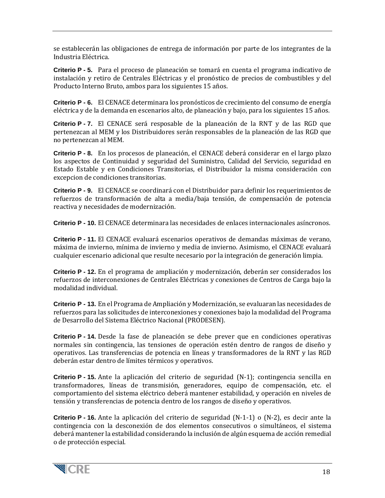se establecerán las obligaciones de entrega de información por parte de los integrantes de la Industria Eléctrica.

**Criterio P - 5.** Para el proceso de planeación se tomará en cuenta el programa indicativo de instalación y retiro de Centrales Eléctricas y el pronóstico de precios de combustibles y del Producto Interno Bruto, ambos para los siguientes 15 años.

**Criterio P - 6.** El CENACE determinara los pronósticos de crecimiento del consumo de energía eléctrica y de la demanda en escenarios alto, de planeación y bajo, para los siguientes 15 años.

**Criterio P - 7.** El CENACE será resposable de la planeación de la RNT y de las RGD que pertenezcan al MEM y los Distribuidores serán responsables de la planeación de las RGD que no pertenezcan al MEM.

**Criterio P - 8.** En los procesos de planeación, el CENACE deberá considerar en el largo plazo los aspectos de Continuidad y seguridad del Suministro, Calidad del Servicio, seguridad en Estado Estable y en Condiciones Transitorias, el Distribuidor la misma consideración con excepcion de condiciones transitorias.

**Criterio P - 9.** El CENACE se coordinará con el Distribuidor para definir los requerimientos de refuerzos de transformación de alta a media/baja tensión, de compensación de potencia reactiva y necesidades de modernización.

**Criterio P - 10.** El CENACE determinara las necesidades de enlaces internacionales asíncronos.

**Criterio P - 11.** El CENACE evaluará escenarios operativos de demandas máximas de verano, máxima de invierno, mínima de invierno y media de invierno. Asimismo, el CENACE evaluará cualquier escenario adicional que resulte necesario por la integración de generación limpia.

**Criterio P - 12.** En el programa de ampliación y modernización, deberán ser considerados los refuerzos de interconexiones de Centrales Eléctricas y conexiones de Centros de Carga bajo la modalidad individual.

**Criterio P - 13.** En el Programa de Ampliación y Modernización, se evaluaran las necesidades de refuerzos para las solicitudes de interconexiones y conexiones bajo la modalidad del Programa de Desarrollo del Sistema Eléctrico Nacional (PRODESEN).

**Criterio P - 14.** Desde la fase de planeación se debe prever que en condiciones operativas normales sin contingencia, las tensiones de operación estén dentro de rangos de diseño y operativos. Las transferencias de potencia en líneas y transformadores de la RNT y las RGD deberán estar dentro de límites térmicos y operativos.

**Criterio P - 15.** Ante la aplicación del criterio de seguridad (N-1); contingencia sencilla en transformadores, líneas de transmisión, generadores, equipo de compensación, etc. el comportamiento del sistema eléctrico deberá mantener estabilidad, y operación en niveles de tensión y transferencias de potencia dentro de los rangos de diseño y operativos.

**Criterio P - 16.** Ante la aplicación del criterio de seguridad (N-1-1) o (N-2), es decir ante la contingencia con la desconexión de dos elementos consecutivos o simultáneos, el sistema deberá mantener la estabilidad considerando la inclusión de algún esquema de acción remedial o de protección especial.

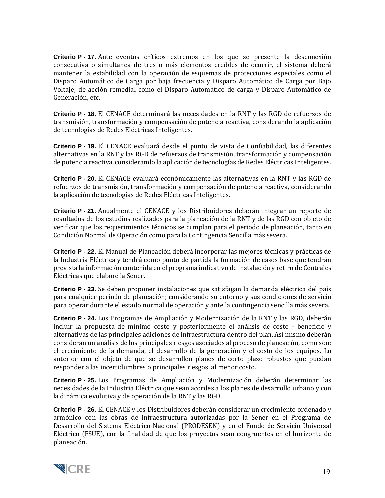**Criterio P - 17.** Ante eventos críticos extremos en los que se presente la desconexión consecutiva o simultanea de tres o más elementos creíbles de ocurrir, el sistema deberá mantener la estabilidad con la operación de esquemas de protecciones especiales como el Disparo Automático de Carga por baja frecuencia y Disparo Automático de Carga por Bajo Voltaje; de acción remedial como el Disparo Automático de carga y Disparo Automático de Generación, etc.

**Criterio P - 18.** El CENACE determinará las necesidades en la RNT y las RGD de refuerzos de transmisión, transformación y compensación de potencia reactiva, considerando la aplicación de tecnologías de Redes Eléctricas Inteligentes.

**Criterio P - 19.** El CENACE evaluará desde el punto de vista de Confiabilidad, las diferentes alternativas en la RNT y las RGD de refuerzos de transmisión, transformación y compensación de potencia reactiva, considerando la aplicación de tecnologías de Redes Eléctricas Inteligentes.

**Criterio P - 20.** El CENACE evaluará económicamente las alternativas en la RNT y las RGD de refuerzos de transmisión, transformación y compensación de potencia reactiva, considerando la aplicación de tecnologías de Redes Eléctricas Inteligentes.

**Criterio P - 21.** Anualmente el CENACE y los Distribuidores deberán integrar un reporte de resultados de los estudios realizados para la planeación de la RNT y de las RGD con objeto de verificar que los requerimientos técnicos se cumplan para el periodo de planeación, tanto en Condición Normal de Operación como para la Contingencia Sencilla más severa.

**Criterio P - 22.** El Manual de Planeación deberá incorporar las mejores técnicas y prácticas de la Industria Eléctrica y tendrá como punto de partida la formación de casos base que tendrán prevista la información contenida en el programa indicativo de instalación y retiro de Centrales Eléctricas que elabore la Sener.

**Criterio P - 23.** Se deben proponer instalaciones que satisfagan la demanda eléctrica del país para cualquier periodo de planeación; considerando su entorno y sus condiciones de servicio para operar durante el estado normal de operación y ante la contingencia sencilla más severa.

**Criterio P - 24.** Los Programas de Ampliación y Modernización de la RNT y las RGD, deberán incluir la propuesta de mínimo costo y posteriormente el análisis de costo - beneficio y alternativas de las principales adiciones de infraestructura dentro del plan. Así mismo deberán consideran un análisis de los principales riesgos asociados al proceso de planeación, como son: el crecimiento de la demanda, el desarrollo de la generación y el costo de los equipos. Lo anterior con el objeto de que se desarrollen planes de corto plazo robustos que puedan responder a las incertidumbres o principales riesgos, al menor costo.

**Criterio P - 25.** Los Programas de Ampliación y Modernización deberán determinar las necesidades de la Industria Eléctrica que sean acordes a los planes de desarrollo urbano y con la dinámica evolutiva y de operación de la RNT y las RGD.

**Criterio P - 26.** El CENACE y los Distribuidores deberán considerar un crecimiento ordenado y armónico con las obras de infraestructura autorizadas por la Sener en el Programa de Desarrollo del Sistema Eléctrico Nacional (PRODESEN) y en el Fondo de Servicio Universal Eléctrico (FSUE), con la finalidad de que los proyectos sean congruentes en el horizonte de planeación.

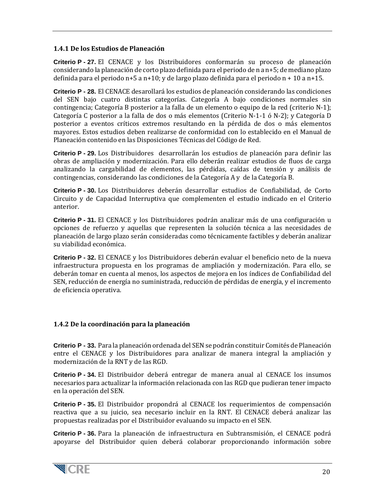#### **1.4.1 De los Estudios de Planeación**

**Criterio P - 27.** El CENACE y los Distribuidores conformarán su proceso de planeación considerando la planeación de corto plazo definida para el periodo de n a n+5; de mediano plazo definida para el periodo n+5 a n+10; y de largo plazo definida para el periodo n + 10 a n+15.

**Criterio P - 28.** El CENACE desarollará los estudios de planeación considerando las condiciones del SEN bajo cuatro distintas categorías. Categoría A bajo condiciones normales sin contingencia; Categoría B posterior a la falla de un elemento o equipo de la red (criterio N-1); Categoría C posterior a la falla de dos o más elementos (Criterio N-1-1 ó N-2); y Categoría D posterior a eventos críticos extremos resultando en la pérdida de dos o más elementos mayores. Estos estudios deben realizarse de conformidad con lo establecido en el Manual de Planeación contenido en las Disposiciones Técnicas del Código de Red.

**Criterio P - 29.** Los Distribuidores desarrollarán los estudios de planeación para definir las obras de ampliación y modernización. Para ello deberán realizar estudios de fluos de carga analizando la cargabilidad de elementos, las pérdidas, caídas de tensión y análisis de contingencias, considerando las condiciones de la Categoría A y de la Categoría B.

**Criterio P - 30.** Los Distribuidores deberán desarrollar estudios de Confiabilidad, de Corto Circuito y de Capacidad Interruptiva que complementen el estudio indicado en el Criterio anterior.

**Criterio P - 31.** El CENACE y los Distribuidores podrán analizar más de una configuración u opciones de refuerzo y aquellas que representen la solución técnica a las necesidades de planeación de largo plazo serán consideradas como técnicamente factibles y deberán analizar su viabilidad económica.

**Criterio P - 32.** El CENACE y los Distribuidores deberán evaluar el beneficio neto de la nueva infraestructura propuesta en los programas de ampliación y modernización. Para ello, se deberán tomar en cuenta al menos, los aspectos de mejora en los índices de Confiabilidad del SEN, reducción de energía no suministrada, reducción de pérdidas de energía, y el incremento de eficiencia operativa.

#### **1.4.2 De la coordinación para la planeación**

**Criterio P - 33.** Para la planeación ordenada del SEN se podrán constituir Comités de Planeación entre el CENACE y los Distribuidores para analizar de manera integral la ampliación y modernización de la RNT y de las RGD.

**Criterio P - 34.** El Distribuidor deberá entregar de manera anual al CENACE los insumos necesarios para actualizar la información relacionada con las RGD que pudieran tener impacto en la operación del SEN.

**Criterio P - 35.** El Distribuidor propondrá al CENACE los requerimientos de compensación reactiva que a su juicio, sea necesario incluir en la RNT. El CENACE deberá analizar las propuestas realizadas por el Distribuidor evaluando su impacto en el SEN.

**Criterio P - 36.** Para la planeación de infraestructura en Subtransmisión, el CENACE podrá apoyarse del Distribuidor quien deberá colaborar proporcionando información sobre

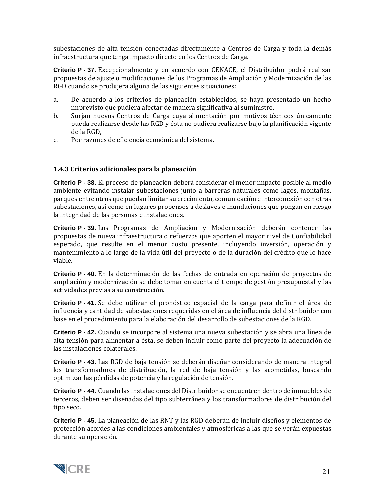subestaciones de alta tensión conectadas directamente a Centros de Carga y toda la demás infraestructura que tenga impacto directo en los Centros de Carga.

**Criterio P - 37.** Excepcionalmente y en acuerdo con CENACE, el Distribuidor podrá realizar propuestas de ajuste o modificaciones de los Programas de Ampliación y Modernización de las RGD cuando se produjera alguna de las siguientes situaciones:

- a. De acuerdo a los criterios de planeación establecidos, se haya presentado un hecho imprevisto que pudiera afectar de manera significativa al suministro,
- b. Surjan nuevos Centros de Carga cuya alimentación por motivos técnicos únicamente pueda realizarse desde las RGD y ésta no pudiera realizarse bajo la planificación vigente de la RGD,
- c. Por razones de eficiencia económica del sistema.

## **1.4.3 Criterios adicionales para la planeación**

**Criterio P - 38.** El proceso de planeación deberá considerar el menor impacto posible al medio ambiente evitando instalar subestaciones junto a barreras naturales como lagos, montañas, parques entre otros que puedan limitar su crecimiento, comunicación e interconexión con otras subestaciones, así como en lugares propensos a deslaves e inundaciones que pongan en riesgo la integridad de las personas e instalaciones.

**Criterio P - 39.** Los Programas de Ampliación y Modernización deberán contener las propuestas de nueva infraestructura o refuerzos que aporten el mayor nivel de Confiabilidad esperado, que resulte en el menor costo presente, incluyendo inversión, operación y mantenimiento a lo largo de la vida útil del proyecto o de la duración del crédito que lo hace viable.

**Criterio P - 40.** En la determinación de las fechas de entrada en operación de proyectos de ampliación y modernización se debe tomar en cuenta el tiempo de gestión presupuestal y las actividades previas a su construcción.

**Criterio P - 41.** Se debe utilizar el pronóstico espacial de la carga para definir el área de influencia y cantidad de subestaciones requeridas en el área de influencia del distribuidor con base en el procedimiento para la elaboración del desarrollo de subestaciones de la RGD.

**Criterio P - 42.** Cuando se incorpore al sistema una nueva subestación y se abra una línea de alta tensión para alimentar a ésta, se deben incluir como parte del proyecto la adecuación de las instalaciones colaterales.

**Criterio P - 43.** Las RGD de baja tensión se deberán diseñar considerando de manera integral los transformadores de distribución, la red de baja tensión y las acometidas, buscando optimizar las pérdidas de potencia y la regulación de tensión.

**Criterio P - 44.** Cuando las instalaciones del Distribuidor se encuentren dentro de inmuebles de terceros, deben ser diseñadas del tipo subterránea y los transformadores de distribución del tipo seco.

**Criterio P - 45.** La planeación de las RNT y las RGD deberán de incluir diseños y elementos de protección acordes a las condiciones ambientales y atmosféricas a las que se verán expuestas durante su operación.

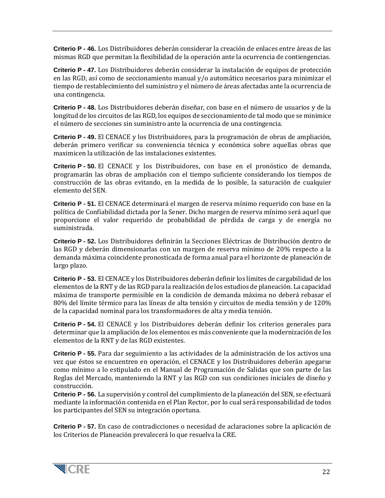**Criterio P - 46.** Los Distribuidores deberán considerar la creación de enlaces entre áreas de las mismas RGD que permitan la flexibilidad de la operación ante la ocurrencia de contiengencias.

**Criterio P - 47.** Los Distribuidores deberán considerar la instalación de equipos de protección en las RGD, así como de seccionamiento manual y/o automático necesarios para minimizar el tiempo de restablecimiento del suministro y el número de áreas afectadas ante la ocurrencia de una contingencia.

**Criterio P - 48.** Los Distribuidores deberán diseñar, con base en el número de usuarios y de la longitud de los circuitos de las RGD, los equipos de seccionamiento de tal modo que se minimice el número de secciones sin suministro ante la ocurrencia de una contingencia.

**Criterio P - 49.** El CENACE y los Distribuidores, para la programación de obras de ampliación, deberán primero verificar su conveniencia técnica y económica sobre aquellas obras que maximicen la utilización de las instalaciones existentes.

**Criterio P - 50.** El CENACE y los Distribuidores, con base en el pronóstico de demanda, programarán las obras de ampliación con el tiempo suficiente considerando los tiempos de construcción de las obras evitando, en la medida de lo posible, la saturación de cualquier elemento del SEN.

**Criterio P - 51.** El CENACE determinará el margen de reserva mínimo requerido con base en la política de Confiabilidad dictada por la Sener. Dicho margen de reserva mínimo será aquel que proporcione el valor requerido de probabilidad de pérdida de carga y de energía no suministrada.

**Criterio P - 52.** Los Distribuidores definirán la Secciones Eléctricas de Distribución dentro de las RGD y deberán dimensionarlas con un margen de reserva mínimo de 20% respecto a la demanda máxima coincidente pronosticada de forma anual para el horizonte de planeación de largo plazo.

**Criterio P - 53.** El CENACE y los Distribuidores deberán definir los límites de cargabilidad de los elementos de la RNT y de las RGD para la realización de los estudios de planeación. La capacidad máxima de transporte permisible en la condición de demanda máxima no deberá rebasar el 80% del límite térmico para las líneas de alta tensión y circuitos de media tensión y de 120% de la capacidad nominal para los transformadores de alta y media tensión.

**Criterio P - 54.** El CENACE y los Distribuidores deberán definir los criterios generales para determinar que la ampliación de los elementos es más conveniente que la modernización de los elementos de la RNT y de las RGD existentes.

**Criterio P - 55.** Para dar seguimiento a las actividades de la administración de los activos una vez que éstos se encuentren en operación, el CENACE y los Distribuidores deberán apegarse como mínimo a lo estipulado en el Manual de Programación de Salidas que son parte de las Reglas del Mercado, manteniendo la RNT y las RGD con sus condiciones iniciales de diseño y construcción.

**Criterio P - 56.** La supervisión y control del cumplimiento de la planeación del SEN, se efectuará mediante la información contenida en el Plan Rector, por lo cual será responsabilidad de todos los participantes del SEN su integración oportuna.

**Criterio P - 57.** En caso de contradicciones o necesidad de aclaraciones sobre la aplicación de los Criterios de Planeación prevalecerá lo que resuelva la CRE.

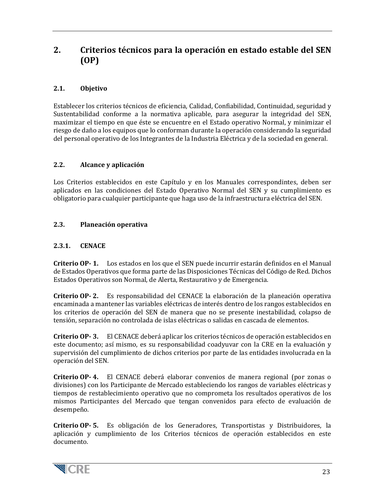# <span id="page-22-0"></span>**2. Criterios técnicos para la operación en estado estable del SEN (OP)**

# <span id="page-22-1"></span>**2.1. Objetivo**

Establecer los criterios técnicos de eficiencia, Calidad, Confiabilidad, Continuidad, seguridad y Sustentabilidad conforme a la normativa aplicable, para asegurar la integridad del SEN, maximizar el tiempo en que éste se encuentre en el Estado operativo Normal, y minimizar el riesgo de daño a los equipos que lo conforman durante la operación considerando la seguridad del personal operativo de los Integrantes de la Industria Eléctrica y de la sociedad en general.

#### <span id="page-22-2"></span>**2.2. Alcance y aplicación**

Los Criterios establecidos en este Capítulo y en los Manuales correspondintes, deben ser aplicados en las condiciones del Estado Operativo Normal del SEN y su cumplimiento es obligatorio para cualquier participante que haga uso de la infraestructura eléctrica del SEN.

## <span id="page-22-3"></span>**2.3. Planeación operativa**

## <span id="page-22-4"></span>**2.3.1. CENACE**

**Criterio OP- 1.** Los estados en los que el SEN puede incurrir estarán definidos en el Manual de Estados Operativos que forma parte de las Disposiciones Técnicas del Código de Red. Dichos Estados Operativos son Normal, de Alerta, Restaurativo y de Emergencia.

**Criterio OP- 2.** Es responsabilidad del CENACE la elaboración de la planeación operativa encaminada a mantener las variables eléctricas de interés dentro de los rangos establecidos en los criterios de operación del SEN de manera que no se presente inestabilidad, colapso de tensión, separación no controlada de islas eléctricas o salidas en cascada de elementos.

**Criterio OP- 3.** El CENACE deberá aplicar los criterios técnicos de operación establecidos en este documento; así mismo, es su responsabilidad coadyuvar con la CRE en la evaluación y supervisión del cumplimiento de dichos criterios por parte de las entidades involucrada en la operación del SEN.

**Criterio OP- 4.** El CENACE deberá elaborar convenios de manera regional (por zonas o divisiones) con los Participante de Mercado estableciendo los rangos de variables eléctricas y tiempos de restablecimiento operativo que no comprometa los resultados operativos de los mismos Participantes del Mercado que tengan convenidos para efecto de evaluación de desempeño.

**Criterio OP- 5.** Es obligación de los Generadores, Transportistas y Distribuidores, la aplicación y cumplimiento de los Criterios técnicos de operación establecidos en este documento.

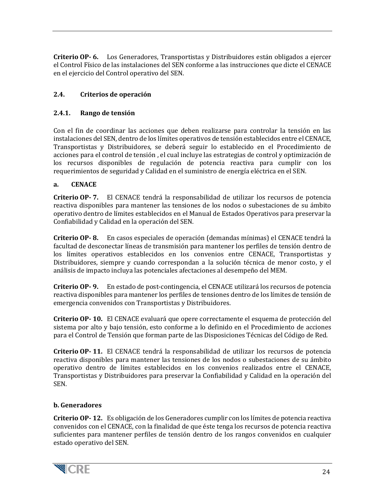**Criterio OP- 6.** Los Generadores, Transportistas y Distribuidores están obligados a ejercer el Control Físico de las instalaciones del SEN conforme a las instrucciones que dicte el CENACE en el ejercicio del Control operativo del SEN.

# <span id="page-23-0"></span>**2.4. Criterios de operación**

#### <span id="page-23-1"></span>**2.4.1. Rango de tensión**

Con el fin de coordinar las acciones que deben realizarse para controlar la tensión en las instalaciones del SEN, dentro de los límites operativos de tensión establecidos entre el CENACE, Transportistas y Distribuidores, se deberá seguir lo establecido en el Procedimiento de acciones para el control de tensión , el cual incluye las estrategias de control y optimización de los recursos disponibles de regulación de potencia reactiva para cumplir con los requerimientos de seguridad y Calidad en el suministro de energía eléctrica en el SEN.

#### **a. CENACE**

**Criterio OP- 7.** El CENACE tendrá la responsabilidad de utilizar los recursos de potencia reactiva disponibles para mantener las tensiones de los nodos o subestaciones de su ámbito operativo dentro de límites establecidos en el Manual de Estados Operativos para preservar la Confiabilidad y Calidad en la operación del SEN.

**Criterio OP- 8.** En casos especiales de operación (demandas mínimas) el CENACE tendrá la facultad de desconectar líneas de transmisión para mantener los perfiles de tensión dentro de los límites operativos establecidos en los convenios entre CENACE, Transportistas y Distribuidores, siempre y cuando correspondan a la solución técnica de menor costo, y el análisis de impacto incluya las potenciales afectaciones al desempeño del MEM.

**Criterio OP- 9.** En estado de post-contingencia, el CENACE utilizará los recursos de potencia reactiva disponibles para mantener los perfiles de tensiones dentro de los límites de tensión de emergencia convenidos con Transportistas y Distribuidores.

**Criterio OP- 10.** El CENACE evaluará que opere correctamente el esquema de protección del sistema por alto y bajo tensión, esto conforme a lo definido en el Procedimiento de acciones para el Control de Tensión que forman parte de las Disposiciones Técnicas del Código de Red.

**Criterio OP- 11.** El CENACE tendrá la responsabilidad de utilizar los recursos de potencia reactiva disponibles para mantener las tensiones de los nodos o subestaciones de su ámbito operativo dentro de límites establecidos en los convenios realizados entre el CENACE, Transportistas y Distribuidores para preservar la Confiabilidad y Calidad en la operación del SEN.

#### **b. Generadores**

**Criterio OP- 12.** Es obligación de los Generadores cumplir con los límites de potencia reactiva convenidos con el CENACE, con la finalidad de que éste tenga los recursos de potencia reactiva suficientes para mantener perfiles de tensión dentro de los rangos convenidos en cualquier estado operativo del SEN.

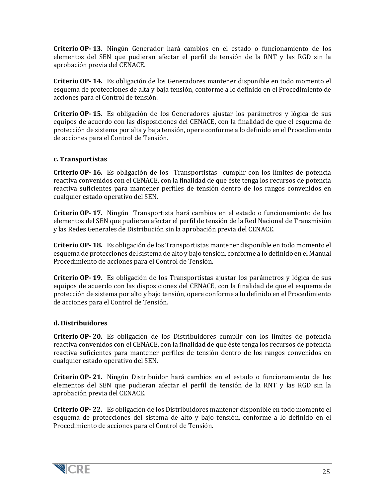**Criterio OP- 13.** Ningún Generador hará cambios en el estado o funcionamiento de los elementos del SEN que pudieran afectar el perfil de tensión de la RNT y las RGD sin la aprobación previa del CENACE.

**Criterio OP- 14.** Es obligación de los Generadores mantener disponible en todo momento el esquema de protecciones de alta y baja tensión, conforme a lo definido en el Procedimiento de acciones para el Control de tensión.

**Criterio OP- 15.** Es obligación de los Generadores ajustar los parámetros y lógica de sus equipos de acuerdo con las disposiciones del CENACE, con la finalidad de que el esquema de protección de sistema por alta y baja tensión, opere conforme a lo definido en el Procedimiento de acciones para el Control de Tensión.

#### **c. Transportistas**

**Criterio OP- 16.** Es obligación de los Transportistas cumplir con los límites de potencia reactiva convenidos con el CENACE, con la finalidad de que éste tenga los recursos de potencia reactiva suficientes para mantener perfiles de tensión dentro de los rangos convenidos en cualquier estado operativo del SEN.

**Criterio OP- 17.** Ningún Transportista hará cambios en el estado o funcionamiento de los elementos del SEN que pudieran afectar el perfil de tensión de la Red Nacional de Transmisión y las Redes Generales de Distribución sin la aprobación previa del CENACE.

**Criterio OP- 18.** Es obligación de los Transportistas mantener disponible en todo momento el esquema de protecciones del sistema de alto y bajo tensión, conforme a lo definido en el Manual Procedimiento de acciones para el Control de Tensión.

**Criterio OP- 19.** Es obligación de los Transportistas ajustar los parámetros y lógica de sus equipos de acuerdo con las disposiciones del CENACE, con la finalidad de que el esquema de protección de sistema por alto y bajo tensión, opere conforme a lo definido en el Procedimiento de acciones para el Control de Tensión.

#### **d. Distribuidores**

**Criterio OP- 20.** Es obligación de los Distribuidores cumplir con los límites de potencia reactiva convenidos con el CENACE, con la finalidad de que éste tenga los recursos de potencia reactiva suficientes para mantener perfiles de tensión dentro de los rangos convenidos en cualquier estado operativo del SEN.

**Criterio OP- 21.** Ningún Distribuidor hará cambios en el estado o funcionamiento de los elementos del SEN que pudieran afectar el perfil de tensión de la RNT y las RGD sin la aprobación previa del CENACE.

**Criterio OP- 22.** Es obligación de los Distribuidores mantener disponible en todo momento el esquema de protecciones del sistema de alto y bajo tensión, conforme a lo definido en el Procedimiento de acciones para el Control de Tensión.

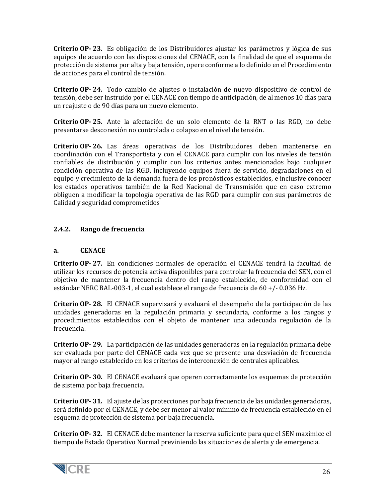**Criterio OP- 23.** Es obligación de los Distribuidores ajustar los parámetros y lógica de sus equipos de acuerdo con las disposiciones del CENACE, con la finalidad de que el esquema de protección de sistema por alta y baja tensión, opere conforme a lo definido en el Procedimiento de acciones para el control de tensión.

**Criterio OP- 24.** Todo cambio de ajustes o instalación de nuevo dispositivo de control de tensión, debe ser instruido por el CENACE con tiempo de anticipación, de al menos 10 días para un reajuste o de 90 días para un nuevo elemento.

**Criterio OP- 25.** Ante la afectación de un solo elemento de la RNT o las RGD, no debe presentarse desconexión no controlada o colapso en el nivel de tensión.

**Criterio OP- 26.** Las áreas operativas de los Distribuidores deben mantenerse en coordinación con el Transportista y con el CENACE para cumplir con los niveles de tensión confiables de distribución y cumplir con los criterios antes mencionados bajo cualquier condición operativa de las RGD, incluyendo equipos fuera de servicio, degradaciones en el equipo y crecimiento de la demanda fuera de los pronósticos establecidos, e inclusive conocer los estados operativos también de la Red Nacional de Transmisión que en caso extremo obliguen a modificar la topología operativa de las RGD para cumplir con sus parámetros de Calidad y seguridad comprometidos

## <span id="page-25-0"></span>**2.4.2. Rango de frecuencia**

#### **a. CENACE**

**Criterio OP- 27.** En condiciones normales de operación el CENACE tendrá la facultad de utilizar los recursos de potencia activa disponibles para controlar la frecuencia del SEN, con el objetivo de mantener la frecuencia dentro del rango establecido, de conformidad con el estándar NERC BAL-003-1, el cual establece el rango de frecuencia de 60 +/- 0.036 Hz.

**Criterio OP- 28.** El CENACE supervisará y evaluará el desempeño de la participación de las unidades generadoras en la regulación primaria y secundaria, conforme a los rangos y procedimientos establecidos con el objeto de mantener una adecuada regulación de la frecuencia.

**Criterio OP- 29.** La participación de las unidades generadoras en la regulación primaria debe ser evaluada por parte del CENACE cada vez que se presente una desviación de frecuencia mayor al rango establecido en los criterios de interconexión de centrales aplicables.

**Criterio OP- 30.** El CENACE evaluará que operen correctamente los esquemas de protección de sistema por baja frecuencia.

**Criterio OP- 31.** El ajuste de las protecciones por baja frecuencia de las unidades generadoras, será definido por el CENACE, y debe ser menor al valor mínimo de frecuencia establecido en el esquema de protección de sistema por baja frecuencia.

**Criterio OP- 32.** El CENACE debe mantener la reserva suficiente para que el SEN maximice el tiempo de Estado Operativo Normal previniendo las situaciones de alerta y de emergencia.

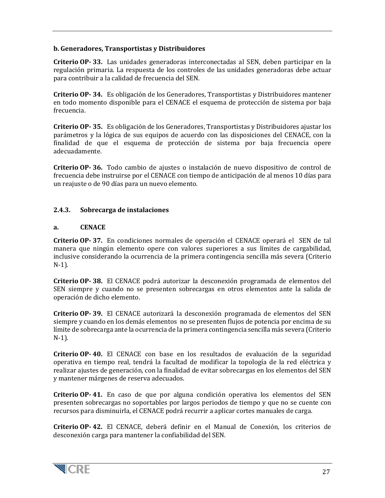#### **b. Generadores, Transportistas y Distribuidores**

**Criterio OP- 33.** Las unidades generadoras interconectadas al SEN, deben participar en la regulación primaria. La respuesta de los controles de las unidades generadoras debe actuar para contribuir a la calidad de frecuencia del SEN.

**Criterio OP- 34.** Es obligación de los Generadores, Transportistas y Distribuidores mantener en todo momento disponible para el CENACE el esquema de protección de sistema por baja frecuencia.

**Criterio OP- 35.** Es obligación de los Generadores, Transportistas y Distribuidores ajustar los parámetros y la lógica de sus equipos de acuerdo con las disposiciones del CENACE, con la finalidad de que el esquema de protección de sistema por baja frecuencia opere adecuadamente.

**Criterio OP- 36.** Todo cambio de ajustes o instalación de nuevo dispositivo de control de frecuencia debe instruirse por el CENACE con tiempo de anticipación de al menos 10 días para un reajuste o de 90 días para un nuevo elemento.

#### <span id="page-26-0"></span>**2.4.3. Sobrecarga de instalaciones**

#### **a. CENACE**

**Criterio OP- 37.** En condiciones normales de operación el CENACE operará el SEN de tal manera que ningún elemento opere con valores superiores a sus límites de cargabilidad, inclusive considerando la ocurrencia de la primera contingencia sencilla más severa (Criterio N-1).

**Criterio OP- 38.** El CENACE podrá autorizar la desconexión programada de elementos del SEN siempre y cuando no se presenten sobrecargas en otros elementos ante la salida de operación de dicho elemento.

**Criterio OP- 39.** El CENACE autorizará la desconexión programada de elementos del SEN siempre y cuando en los demás elementos no se presenten flujos de potencia por encima de su límite de sobrecarga ante la ocurrencia de la primera contingencia sencilla más severa (Criterio N-1).

**Criterio OP- 40.** El CENACE con base en los resultados de evaluación de la seguridad operativa en tiempo real, tendrá la facultad de modificar la topología de la red eléctrica y realizar ajustes de generación, con la finalidad de evitar sobrecargas en los elementos del SEN y mantener márgenes de reserva adecuados.

**Criterio OP- 41.** En caso de que por alguna condición operativa los elementos del SEN presenten sobrecargas no soportables por largos periodos de tiempo y que no se cuente con recursos para disminuirla, el CENACE podrá recurrir a aplicar cortes manuales de carga.

**Criterio OP- 42.** El CENACE, deberá definir en el Manual de Conexión, los criterios de desconexión carga para mantener la confiabilidad del SEN.

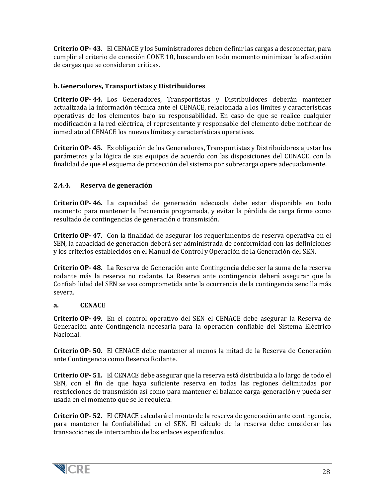**Criterio OP- 43.** El CENACE y los Suministradores deben definir las cargas a desconectar, para cumplir el criterio de conexión CONE 10, buscando en todo momento minimizar la afectación de cargas que se consideren críticas.

### **b. Generadores, Transportistas y Distribuidores**

**Criterio OP- 44.** Los Generadores, Transportistas y Distribuidores deberán mantener actualizada la información técnica ante el CENACE, relacionada a los límites y características operativas de los elementos bajo su responsabilidad. En caso de que se realice cualquier modificación a la red eléctrica, el representante y responsable del elemento debe notificar de inmediato al CENACE los nuevos límites y características operativas.

**Criterio OP- 45.** Es obligación de los Generadores, Transportistas y Distribuidores ajustar los parámetros y la lógica de sus equipos de acuerdo con las disposiciones del CENACE, con la finalidad de que el esquema de protección del sistema por sobrecarga opere adecuadamente.

## <span id="page-27-0"></span>**2.4.4. Reserva de generación**

**Criterio OP- 46.** La capacidad de generación adecuada debe estar disponible en todo momento para mantener la frecuencia programada, y evitar la pérdida de carga firme como resultado de contingencias de generación o transmisión.

**Criterio OP- 47.** Con la finalidad de asegurar los requerimientos de reserva operativa en el SEN, la capacidad de generación deberá ser administrada de conformidad con las definiciones y los criterios establecidos en el Manual de Control y Operación de la Generación del SEN.

**Criterio OP- 48.** La Reserva de Generación ante Contingencia debe ser la suma de la reserva rodante más la reserva no rodante. La Reserva ante contingencia deberá asegurar que la Confiabilidad del SEN se vea comprometida ante la ocurrencia de la contingencia sencilla más severa.

#### **a. CENACE**

**Criterio OP- 49.** En el control operativo del SEN el CENACE debe asegurar la Reserva de Generación ante Contingencia necesaria para la operación confiable del Sistema Eléctrico Nacional.

**Criterio OP- 50.** El CENACE debe mantener al menos la mitad de la Reserva de Generación ante Contingencia como Reserva Rodante.

**Criterio OP- 51.** El CENACE debe asegurar que la reserva está distribuida a lo largo de todo el SEN, con el fin de que haya suficiente reserva en todas las regiones delimitadas por restricciones de transmisión así como para mantener el balance carga-generación y pueda ser usada en el momento que se le requiera.

**Criterio OP- 52.** El CENACE calculará el monto de la reserva de generación ante contingencia, para mantener la Confiabilidad en el SEN. El cálculo de la reserva debe considerar las transacciones de intercambio de los enlaces especificados.

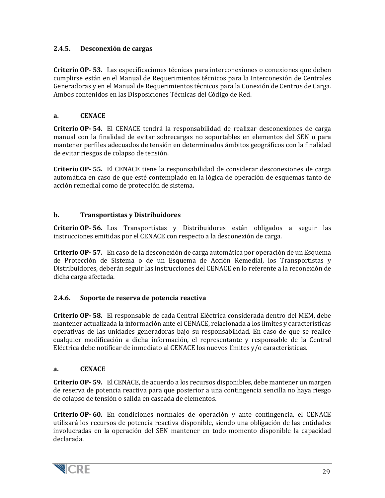# <span id="page-28-0"></span>**2.4.5. Desconexión de cargas**

**Criterio OP- 53.** Las especificaciones técnicas para interconexiones o conexiones que deben cumplirse están en el Manual de Requerimientos técnicos para la Interconexión de Centrales Generadoras y en el Manual de Requerimientos técnicos para la Conexión de Centros de Carga. Ambos contenidos en las Disposiciones Técnicas del Código de Red.

#### **a. CENACE**

**Criterio OP- 54.** El CENACE tendrá la responsabilidad de realizar desconexiones de carga manual con la finalidad de evitar sobrecargas no soportables en elementos del SEN o para mantener perfiles adecuados de tensión en determinados ámbitos geográficos con la finalidad de evitar riesgos de colapso de tensión.

**Criterio OP- 55.** El CENACE tiene la responsabilidad de considerar desconexiones de carga automática en caso de que esté contemplado en la lógica de operación de esquemas tanto de acción remedial como de protección de sistema.

#### **b. Transportistas y Distribuidores**

**Criterio OP- 56.** Los Transportistas y Distribuidores están obligados a seguir las instrucciones emitidas por el CENACE con respecto a la desconexión de carga.

**Criterio OP- 57.** En caso de la desconexión de carga automática por operación de un Esquema de Protección de Sistema o de un Esquema de Acción Remedial, los Transportistas y Distribuidores, deberán seguir las instrucciones del CENACE en lo referente a la reconexión de dicha carga afectada.

#### <span id="page-28-1"></span>**2.4.6. Soporte de reserva de potencia reactiva**

**Criterio OP- 58.** El responsable de cada Central Eléctrica considerada dentro del MEM, debe mantener actualizada la información ante el CENACE, relacionada a los límites y características operativas de las unidades generadoras bajo su responsabilidad. En caso de que se realice cualquier modificación a dicha información, el representante y responsable de la Central Eléctrica debe notificar de inmediato al CENACE los nuevos límites y/o características.

#### **a. CENACE**

**Criterio OP- 59.** El CENACE, de acuerdo a los recursos disponibles, debe mantener un margen de reserva de potencia reactiva para que posterior a una contingencia sencilla no haya riesgo de colapso de tensión o salida en cascada de elementos.

**Criterio OP- 60.** En condiciones normales de operación y ante contingencia, el CENACE utilizará los recursos de potencia reactiva disponible, siendo una obligación de las entidades involucradas en la operación del SEN mantener en todo momento disponible la capacidad declarada.

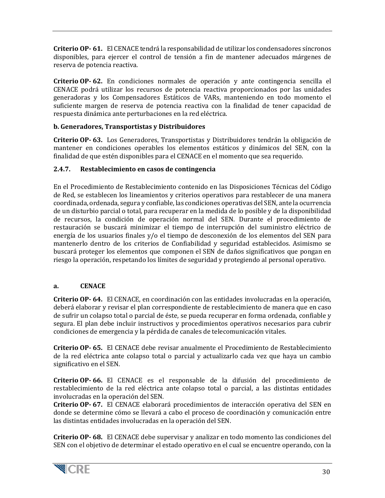**Criterio OP- 61.** El CENACE tendrá la responsabilidad de utilizar los condensadores síncronos disponibles, para ejercer el control de tensión a fin de mantener adecuados márgenes de reserva de potencia reactiva.

**Criterio OP- 62.** En condiciones normales de operación y ante contingencia sencilla el CENACE podrá utilizar los recursos de potencia reactiva proporcionados por las unidades generadoras y los Compensadores Estáticos de VARs, manteniendo en todo momento el suficiente margen de reserva de potencia reactiva con la finalidad de tener capacidad de respuesta dinámica ante perturbaciones en la red eléctrica.

#### **b. Generadores, Transportistas y Distribuidores**

**Criterio OP- 63.** Los Generadores, Transportistas y Distribuidores tendrán la obligación de mantener en condiciones operables los elementos estáticos y dinámicos del SEN, con la finalidad de que estén disponibles para el CENACE en el momento que sea requerido.

#### <span id="page-29-0"></span>**2.4.7. Restablecimiento en casos de contingencia**

En el Procedimiento de Restablecimiento contenido en las Disposiciones Técnicas del Código de Red, se establecen los lineamientos y criterios operativos para restablecer de una manera coordinada, ordenada, segura y confiable, las condiciones operativas del SEN, ante la ocurrencia de un disturbio parcial o total, para recuperar en la medida de lo posible y de la disponibilidad de recursos, la condición de operación normal del SEN. Durante el procedimiento de restauración se buscará minimizar el tiempo de interrupción del suministro eléctrico de energía de los usuarios finales y/o el tiempo de desconexión de los elementos del SEN para mantenerlo dentro de los criterios de Confiabilidad y seguridad establecidos. Asimismo se buscará proteger los elementos que componen el SEN de daños significativos que pongan en riesgo la operación, respetando los límites de seguridad y protegiendo al personal operativo.

#### **a. CENACE**

**Criterio OP- 64.** El CENACE, en coordinación con las entidades involucradas en la operación, deberá elaborar y revisar el plan correspondiente de restablecimiento de manera que en caso de sufrir un colapso total o parcial de éste, se pueda recuperar en forma ordenada, confiable y segura. El plan debe incluir instructivos y procedimientos operativos necesarios para cubrir condiciones de emergencia y la pérdida de canales de telecomunicación vitales.

**Criterio OP- 65.** El CENACE debe revisar anualmente el Procedimiento de Restablecimiento de la red eléctrica ante colapso total o parcial y actualizarlo cada vez que haya un cambio significativo en el SEN.

**Criterio OP- 66.** El CENACE es el responsable de la difusión del procedimiento de restablecimiento de la red eléctrica ante colapso total o parcial, a las distintas entidades involucradas en la operación del SEN.

**Criterio OP- 67.** El CENACE elaborará procedimientos de interacción operativa del SEN en donde se determine cómo se llevará a cabo el proceso de coordinación y comunicación entre las distintas entidades involucradas en la operación del SEN.

**Criterio OP- 68.** El CENACE debe supervisar y analizar en todo momento las condiciones del SEN con el objetivo de determinar el estado operativo en el cual se encuentre operando, con la

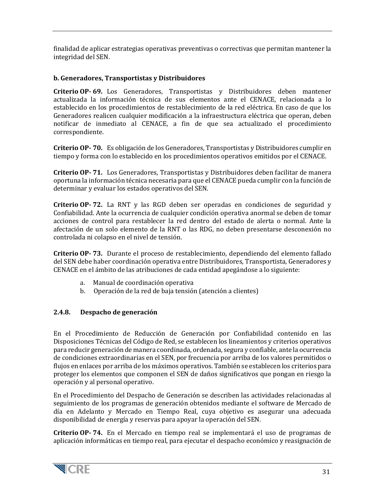finalidad de aplicar estrategias operativas preventivas o correctivas que permitan mantener la integridad del SEN.

#### **b. Generadores, Transportistas y Distribuidores**

**Criterio OP- 69.** Los Generadores, Transportistas y Distribuidores deben mantener actualizada la información técnica de sus elementos ante el CENACE, relacionada a lo establecido en los procedimientos de restablecimiento de la red eléctrica. En caso de que los Generadores realicen cualquier modificación a la infraestructura eléctrica que operan, deben notificar de inmediato al CENACE, a fin de que sea actualizado el procedimiento correspondiente.

**Criterio OP- 70.** Es obligación de los Generadores, Transportistas y Distribuidores cumplir en tiempo y forma con lo establecido en los procedimientos operativos emitidos por el CENACE.

**Criterio OP- 71.** Los Generadores, Transportistas y Distribuidores deben facilitar de manera oportuna la información técnica necesaria para que el CENACE pueda cumplir con la función de determinar y evaluar los estados operativos del SEN.

**Criterio OP- 72.** La RNT y las RGD deben ser operadas en condiciones de seguridad y Confiabilidad. Ante la ocurrencia de cualquier condición operativa anormal se deben de tomar acciones de control para restablecer la red dentro del estado de alerta o normal. Ante la afectación de un solo elemento de la RNT o las RDG, no deben presentarse desconexión no controlada ni colapso en el nivel de tensión.

**Criterio OP- 73.** Durante el proceso de restablecimiento, dependiendo del elemento fallado del SEN debe haber coordinación operativa entre Distribuidores, Transportista, Generadores y CENACE en el ámbito de las atribuciones de cada entidad apegándose a lo siguiente:

- a. Manual de coordinación operativa
- b. Operación de la red de baja tensión (atención a clientes)

#### <span id="page-30-0"></span>**2.4.8. Despacho de generación**

En el Procedimiento de Reducción de Generación por Confiabilidad contenido en las Disposiciones Técnicas del Código de Red, se establecen los lineamientos y criterios operativos para reducir generación de manera coordinada, ordenada, segura y confiable, ante la ocurrencia de condiciones extraordinarias en el SEN, por frecuencia por arriba de los valores permitidos o flujos en enlaces por arriba de los máximos operativos. También se establecen los criterios para proteger los elementos que componen el SEN de daños significativos que pongan en riesgo la operación y al personal operativo.

En el Procedimiento del Despacho de Generación se describen las actividades relacionadas al seguimiento de los programas de generación obtenidos mediante el software de Mercado de día en Adelanto y Mercado en Tiempo Real, cuya objetivo es asegurar una adecuada disponibilidad de energía y reservas para apoyar la operación del SEN.

**Criterio OP- 74.** En el Mercado en tiempo real se implementará el uso de programas de aplicación informáticas en tiempo real, para ejecutar el despacho económico y reasignación de

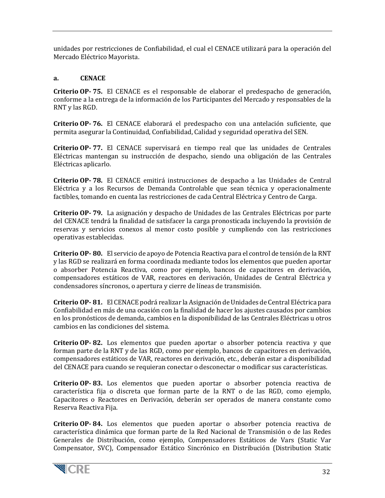unidades por restricciones de Confiabilidad, el cual el CENACE utilizará para la operación del Mercado Eléctrico Mayorista.

#### **a. CENACE**

**Criterio OP- 75.** El CENACE es el responsable de elaborar el predespacho de generación, conforme a la entrega de la información de los Participantes del Mercado y responsables de la RNT y las RGD.

**Criterio OP- 76.** El CENACE elaborará el predespacho con una antelación suficiente, que permita asegurar la Continuidad, Confiabilidad, Calidad y seguridad operativa del SEN.

**Criterio OP- 77.** El CENACE supervisará en tiempo real que las unidades de Centrales Eléctricas mantengan su instrucción de despacho, siendo una obligación de las Centrales Eléctricas aplicarlo.

**Criterio OP- 78.** El CENACE emitirá instrucciones de despacho a las Unidades de Central Eléctrica y a los Recursos de Demanda Controlable que sean técnica y operacionalmente factibles, tomando en cuenta las restricciones de cada Central Eléctrica y Centro de Carga.

**Criterio OP- 79.** La asignación y despacho de Unidades de las Centrales Eléctricas por parte del CENACE tendrá la finalidad de satisfacer la carga pronosticada incluyendo la provisión de reservas y servicios conexos al menor costo posible y cumpliendo con las restricciones operativas establecidas.

**Criterio OP- 80.** El servicio de apoyo de Potencia Reactiva para el control de tensión de la RNT y las RGD se realizará en forma coordinada mediante todos los elementos que pueden aportar o absorber Potencia Reactiva, como por ejemplo, bancos de capacitores en derivación, compensadores estáticos de VAR, reactores en derivación, Unidades de Central Eléctrica y condensadores síncronos, o apertura y cierre de líneas de transmisión.

**Criterio OP- 81.** El CENACE podrá realizar la Asignación de Unidades de Central Eléctrica para Confiabilidad en más de una ocasión con la finalidad de hacer los ajustes causados por cambios en los pronósticos de demanda, cambios en la disponibilidad de las Centrales Eléctricas u otros cambios en las condiciones del sistema.

**Criterio OP- 82.** Los elementos que pueden aportar o absorber potencia reactiva y que forman parte de la RNT y de las RGD, como por ejemplo, bancos de capacitores en derivación, compensadores estáticos de VAR, reactores en derivación, etc., deberán estar a disponibilidad del CENACE para cuando se requieran conectar o desconectar o modificar sus características.

**Criterio OP- 83.** Los elementos que pueden aportar o absorber potencia reactiva de característica fija o discreta que forman parte de la RNT o de las RGD, como ejemplo, Capacitores o Reactores en Derivación, deberán ser operados de manera constante como Reserva Reactiva Fija.

**Criterio OP- 84.** Los elementos que pueden aportar o absorber potencia reactiva de característica dinámica que forman parte de la Red Nacional de Transmisión o de las Redes Generales de Distribución, como ejemplo, Compensadores Estáticos de Vars (Static Var Compensator, SVC), Compensador Estático Sincrónico en Distribución (Distribution Static

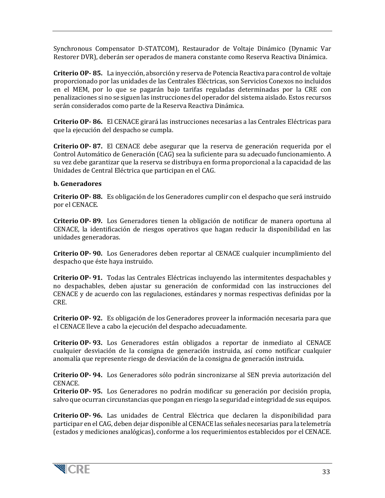Synchronous Compensator D-STATCOM), Restaurador de Voltaje Dinámico (Dynamic Var Restorer DVR), deberán ser operados de manera constante como Reserva Reactiva Dinámica.

**Criterio OP- 85.** La inyección, absorción y reserva de Potencia Reactiva para control de voltaje proporcionado por las unidades de las Centrales Eléctricas, son Servicios Conexos no incluidos en el MEM, por lo que se pagarán bajo tarifas reguladas determinadas por la CRE con penalizaciones si no se siguen las instrucciones del operador del sistema aislado. Estos recursos serán considerados como parte de la Reserva Reactiva Dinámica.

**Criterio OP- 86.** El CENACE girará las instrucciones necesarias a las Centrales Eléctricas para que la ejecución del despacho se cumpla.

**Criterio OP- 87.** El CENACE debe asegurar que la reserva de generación requerida por el Control Automático de Generación (CAG) sea la suficiente para su adecuado funcionamiento. A su vez debe garantizar que la reserva se distribuya en forma proporcional a la capacidad de las Unidades de Central Eléctrica que participan en el CAG.

#### **b. Generadores**

**Criterio OP- 88.** Es obligación de los Generadores cumplir con el despacho que será instruido por el CENACE.

**Criterio OP- 89.** Los Generadores tienen la obligación de notificar de manera oportuna al CENACE, la identificación de riesgos operativos que hagan reducir la disponibilidad en las unidades generadoras.

**Criterio OP- 90.** Los Generadores deben reportar al CENACE cualquier incumplimiento del despacho que éste haya instruido.

**Criterio OP- 91.** Todas las Centrales Eléctricas incluyendo las intermitentes despachables y no despachables, deben ajustar su generación de conformidad con las instrucciones del CENACE y de acuerdo con las regulaciones, estándares y normas respectivas definidas por la CRE.

**Criterio OP- 92.** Es obligación de los Generadores proveer la información necesaria para que el CENACE lleve a cabo la ejecución del despacho adecuadamente.

**Criterio OP- 93.** Los Generadores están obligados a reportar de inmediato al CENACE cualquier desviación de la consigna de generación instruida, así como notificar cualquier anomalía que represente riesgo de desviación de la consigna de generación instruida.

**Criterio OP- 94.** Los Generadores sólo podrán sincronizarse al SEN previa autorización del CENACE.

**Criterio OP- 95.** Los Generadores no podrán modificar su generación por decisión propia, salvo que ocurran circunstancias que pongan en riesgo la seguridad e integridad de sus equipos.

**Criterio OP- 96.** Las unidades de Central Eléctrica que declaren la disponibilidad para participar en el CAG, deben dejar disponible al CENACE las señales necesarias para la telemetría (estados y mediciones analógicas), conforme a los requerimientos establecidos por el CENACE.

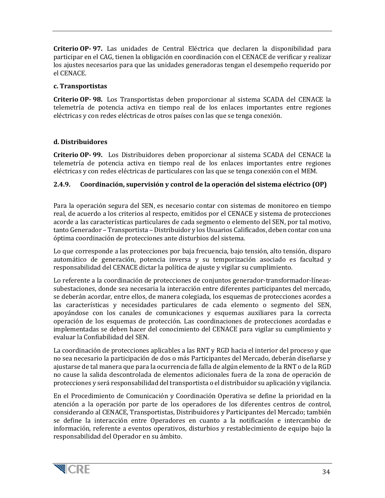**Criterio OP- 97.** Las unidades de Central Eléctrica que declaren la disponibilidad para participar en el CAG, tienen la obligación en coordinación con el CENACE de verificar y realizar los ajustes necesarios para que las unidades generadoras tengan el desempeño requerido por el CENACE.

#### **c. Transportistas**

**Criterio OP- 98.** Los Transportistas deben proporcionar al sistema SCADA del CENACE la telemetría de potencia activa en tiempo real de los enlaces importantes entre regiones eléctricas y con redes eléctricas de otros países con las que se tenga conexión.

#### **d. Distribuidores**

**Criterio OP- 99.** Los Distribuidores deben proporcionar al sistema SCADA del CENACE la telemetría de potencia activa en tiempo real de los enlaces importantes entre regiones eléctricas y con redes eléctricas de particulares con las que se tenga conexión con el MEM.

#### <span id="page-33-0"></span>**2.4.9. Coordinación, supervisión y control de la operación del sistema eléctrico (OP)**

Para la operación segura del SEN, es necesario contar con sistemas de monitoreo en tiempo real, de acuerdo a los criterios al respecto, emitidos por el CENACE y sistema de protecciones acorde a las características particulares de cada segmento o elemento del SEN, por tal motivo, tanto Generador – Transportista – Distribuidor y los Usuarios Calificados, deben contar con una óptima coordinación de protecciones ante disturbios del sistema.

Lo que corresponde a las protecciones por baja frecuencia, bajo tensión, alto tensión, disparo automático de generación, potencia inversa y su temporización asociado es facultad y responsabilidad del CENACE dictar la política de ajuste y vigilar su cumplimiento.

Lo referente a la coordinación de protecciones de conjuntos generador-transformador-líneassubestaciones, donde sea necesaria la interacción entre diferentes participantes del mercado, se deberán acordar, entre ellos, de manera colegiada, los esquemas de protecciones acordes a las características y necesidades particulares de cada elemento o segmento del SEN, apoyándose con los canales de comunicaciones y esquemas auxiliares para la correcta operación de los esquemas de protección. Las coordinaciones de protecciones acordadas e implementadas se deben hacer del conocimiento del CENACE para vigilar su cumplimiento y evaluar la Confiabilidad del SEN.

La coordinación de protecciones aplicables a las RNT y RGD hacia el interior del proceso y que no sea necesario la participación de dos o más Participantes del Mercado, deberán diseñarse y ajustarse de tal manera que para la ocurrencia de falla de algún elemento de la RNT o de la RGD no cause la salida descontrolada de elementos adicionales fuera de la zona de operación de protecciones y será responsabilidad del transportista o el distribuidor su aplicación y vigilancia.

En el Procedimiento de Comunicación y Coordinación Operativa se define la prioridad en la atención a la operación por parte de los operadores de los diferentes centros de control, considerando al CENACE, Transportistas, Distribuidores y Participantes del Mercado; también se define la interacción entre Operadores en cuanto a la notificación e intercambio de información, referente a eventos operativos, disturbios y restablecimiento de equipo bajo la responsabilidad del Operador en su ámbito.

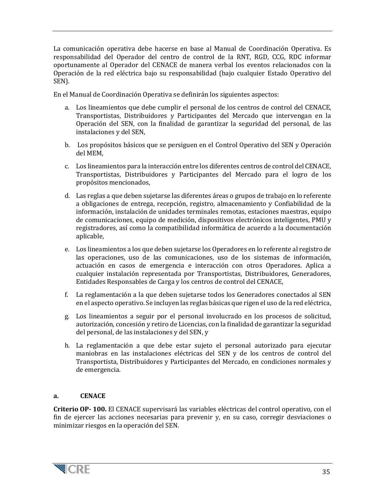La comunicación operativa debe hacerse en base al Manual de Coordinación Operativa. Es responsabilidad del Operador del centro de control de la RNT, RGD, CCG, RDC informar oportunamente al Operador del CENACE de manera verbal los eventos relacionados con la Operación de la red eléctrica bajo su responsabilidad (bajo cualquier Estado Operativo del SEN).

En el Manual de Coordinación Operativa se definirán los siguientes aspectos:

- a. Los lineamientos que debe cumplir el personal de los centros de control del CENACE, Transportistas, Distribuidores y Participantes del Mercado que intervengan en la Operación del SEN, con la finalidad de garantizar la seguridad del personal, de las instalaciones y del SEN,
- b. Los propósitos básicos que se persiguen en el Control Operativo del SEN y Operación del MEM,
- c. Los lineamientos para la interacción entre los diferentes centros de control del CENACE, Transportistas, Distribuidores y Participantes del Mercado para el logro de los propósitos mencionados,
- d. Las reglas a que deben sujetarse las diferentes áreas o grupos de trabajo en lo referente a obligaciones de entrega, recepción, registro, almacenamiento y Confiabilidad de la información, instalación de unidades terminales remotas, estaciones maestras, equipo de comunicaciones, equipo de medición, dispositivos electrónicos inteligentes, PMU y registradores, así como la compatibilidad informática de acuerdo a la documentación aplicable,
- e. Los lineamientos a los que deben sujetarse los Operadores en lo referente al registro de las operaciones, uso de las comunicaciones, uso de los sistemas de información, actuación en casos de emergencia e interacción con otros Operadores. Aplica a cualquier instalación representada por Transportistas, Distribuidores, Generadores, Entidades Responsables de Carga y los centros de control del CENACE,
- f. La reglamentación a la que deben sujetarse todos los Generadores conectados al SEN en el aspecto operativo. Se incluyen las reglas básicas que rigen el uso de la red eléctrica,
- g. Los lineamientos a seguir por el personal involucrado en los procesos de solicitud, autorización, concesión y retiro de Licencias, con la finalidad de garantizar la seguridad del personal, de las instalaciones y del SEN, y
- h. La reglamentación a que debe estar sujeto el personal autorizado para ejecutar maniobras en las instalaciones eléctricas del SEN y de los centros de control del Transportista, Distribuidores y Participantes del Mercado, en condiciones normales y de emergencia.

#### **a. CENACE**

**Criterio OP- 100.** El CENACE supervisará las variables eléctricas del control operativo, con el fin de ejercer las acciones necesarias para prevenir y, en su caso, corregir desviaciones o minimizar riesgos en la operación del SEN.

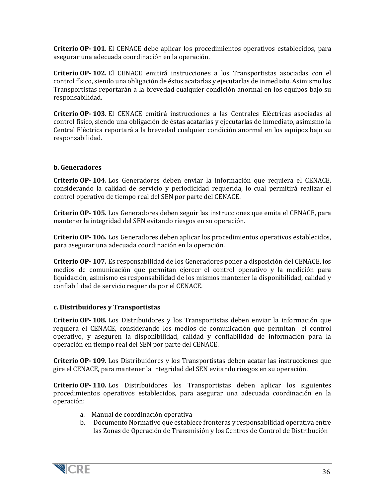**Criterio OP- 101.** El CENACE debe aplicar los procedimientos operativos establecidos, para asegurar una adecuada coordinación en la operación.

**Criterio OP- 102.** El CENACE emitirá instrucciones a los Transportistas asociadas con el control físico, siendo una obligación de éstos acatarlas y ejecutarlas de inmediato. Asimismo los Transportistas reportarán a la brevedad cualquier condición anormal en los equipos bajo su responsabilidad.

**Criterio OP- 103.** El CENACE emitirá instrucciones a las Centrales Eléctricas asociadas al control físico, siendo una obligación de éstas acatarlas y ejecutarlas de inmediato, asimismo la Central Eléctrica reportará a la brevedad cualquier condición anormal en los equipos bajo su responsabilidad.

#### **b. Generadores**

**Criterio OP- 104.** Los Generadores deben enviar la información que requiera el CENACE, considerando la calidad de servicio y periodicidad requerida, lo cual permitirá realizar el control operativo de tiempo real del SEN por parte del CENACE.

**Criterio OP- 105.** Los Generadores deben seguir las instrucciones que emita el CENACE, para mantener la integridad del SEN evitando riesgos en su operación.

**Criterio OP- 106.** Los Generadores deben aplicar los procedimientos operativos establecidos, para asegurar una adecuada coordinación en la operación.

**Criterio OP- 107.** Es responsabilidad de los Generadores poner a disposición del CENACE, los medios de comunicación que permitan ejercer el control operativo y la medición para liquidación, asimismo es responsabilidad de los mismos mantener la disponibilidad, calidad y confiabilidad de servicio requerida por el CENACE.

#### **c. Distribuidores y Transportistas**

**Criterio OP- 108.** Los Distribuidores y los Transportistas deben enviar la información que requiera el CENACE, considerando los medios de comunicación que permitan el control operativo, y aseguren la disponibilidad, calidad y confiabilidad de información para la operación en tiempo real del SEN por parte del CENACE.

**Criterio OP- 109.** Los Distribuidores y los Transportistas deben acatar las instrucciones que gire el CENACE, para mantener la integridad del SEN evitando riesgos en su operación.

**Criterio OP- 110.** Los Distribuidores los Transportistas deben aplicar los siguientes procedimientos operativos establecidos, para asegurar una adecuada coordinación en la operación:

- a. Manual de coordinación operativa
- b. Documento Normativo que establece fronteras y responsabilidad operativa entre las Zonas de Operación de Transmisión y los Centros de Control de Distribución

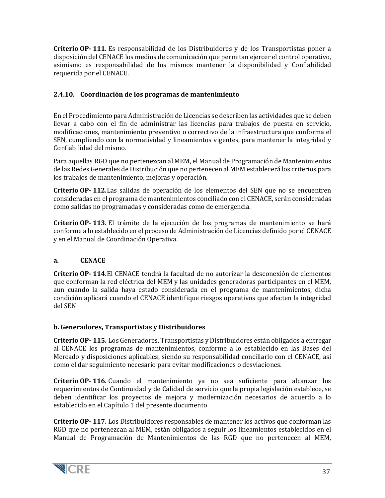**Criterio OP- 111.** Es responsabilidad de los Distribuidores y de los Transportistas poner a disposición del CENACE los medios de comunicación que permitan ejercer el control operativo, asimismo es responsabilidad de los mismos mantener la disponibilidad y Confiabilidad requerida por el CENACE.

### <span id="page-36-0"></span>**2.4.10. Coordinación de los programas de mantenimiento**

En el Procedimiento para Administración de Licencias se describen las actividades que se deben llevar a cabo con el fin de administrar las licencias para trabajos de puesta en servicio, modificaciones, mantenimiento preventivo o correctivo de la infraestructura que conforma el SEN, cumpliendo con la normatividad y lineamientos vigentes, para mantener la integridad y Confiabilidad del mismo.

Para aquellas RGD que no pertenezcan al MEM, el Manual de Programación de Mantenimientos de las Redes Generales de Distribución que no pertenecen al MEM establecerá los criterios para los trabajos de mantenimiento, mejoras y operación.

**Criterio OP- 112.**Las salidas de operación de los elementos del SEN que no se encuentren consideradas en el programa de mantenimientos conciliado con el CENACE, serán consideradas como salidas no programadas y consideradas como de emergencia.

**Criterio OP- 113.** El trámite de la ejecución de los programas de mantenimiento se hará conforme a lo establecido en el proceso de Administración de Licencias definido por el CENACE y en el Manual de Coordinación Operativa.

#### **a. CENACE**

**Criterio OP- 114.**El CENACE tendrá la facultad de no autorizar la desconexión de elementos que conforman la red eléctrica del MEM y las unidades generadoras participantes en el MEM, aun cuando la salida haya estado considerada en el programa de mantenimientos, dicha condición aplicará cuando el CENACE identifique riesgos operativos que afecten la integridad del SEN

# **b. Generadores, Transportistas y Distribuidores**

**Criterio OP- 115.** Los Generadores, Transportistas y Distribuidores están obligados a entregar al CENACE los programas de mantenimientos, conforme a lo establecido en las Bases del Mercado y disposiciones aplicables, siendo su responsabilidad conciliarlo con el CENACE, así como el dar seguimiento necesario para evitar modificaciones o desviaciones.

**Criterio OP- 116.** Cuando el mantenimiento ya no sea suficiente para alcanzar los requerimientos de Continuidad y de Calidad de servicio que la propia legislación establece, se deben identificar los proyectos de mejora y modernización necesarios de acuerdo a lo establecido en el Capítulo 1 del presente documento

**Criterio OP- 117.** Los Distribuidores responsables de mantener los activos que conforman las RGD que no pertenezcan al MEM, están obligados a seguir los lineamientos establecidos en el Manual de Programación de Mantenimientos de las RGD que no pertenecen al MEM,

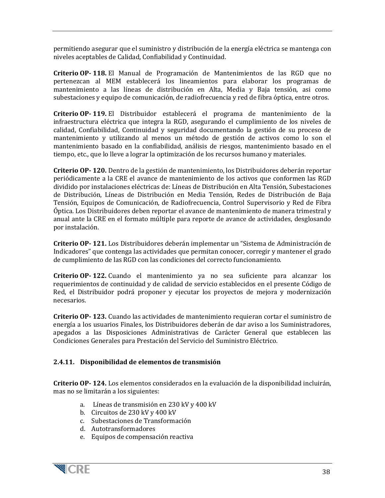permitiendo asegurar que el suministro y distribución de la energía eléctrica se mantenga con niveles aceptables de Calidad, Confiabilidad y Continuidad.

**Criterio OP- 118.** El Manual de Programación de Mantenimientos de las RGD que no pertenezcan al MEM establecerá los lineamientos para elaborar los programas de mantenimiento a las líneas de distribución en Alta, Media y Baja tensión, asi como subestaciones y equipo de comunicación, de radiofrecuencia y red de fibra óptica, entre otros.

**Criterio OP- 119.** El Distribuidor establecerá el programa de mantenimiento de la infraestructura eléctrica que integra la RGD, asegurando el cumplimiento de los niveles de calidad, Confiabilidad, Continuidad y seguridad documentando la gestión de su proceso de mantenimiento y utilizando al menos un método de gestión de activos como lo son el mantenimiento basado en la confiabilidad, análisis de riesgos, mantenimiento basado en el tiempo, etc., que lo lleve a lograr la optimización de los recursos humano y materiales.

**Criterio OP- 120.** Dentro de la gestión de mantenimiento, los Distribuidores deberán reportar periódicamente a la CRE el avance de mantenimiento de los activos que conformen las RGD dividido por instalaciones eléctricas de: Líneas de Distribución en Alta Tensión, Subestaciones de Distribución, Líneas de Distribución en Media Tensión, Redes de Distribución de Baja Tensión, Equipos de Comunicación, de Radiofrecuencia, Control Supervisorio y Red de Fibra Óptica. Los Distribuidores deben reportar el avance de mantenimiento de manera trimestral y anual ante la CRE en el formato múltiple para reporte de avance de actividades, desglosando por instalación.

**Criterio OP- 121.** Los Distribuidores deberán implementar un "Sistema de Administración de Indicadores" que contenga las actividades que permitan conocer, corregir y mantener el grado de cumplimiento de las RGD con las condiciones del correcto funcionamiento.

**Criterio OP- 122.** Cuando el mantenimiento ya no sea suficiente para alcanzar los requerimientos de continuidad y de calidad de servicio establecidos en el presente Código de Red, el Distribuidor podrá proponer y ejecutar los proyectos de mejora y modernización necesarios.

**Criterio OP- 123.** Cuando las actividades de mantenimiento requieran cortar el suministro de energía a los usuarios Finales, los Distribuidores deberán de dar aviso a los Suministradores, apegados a las Disposiciones Administrativas de Carácter General que establecen las Condiciones Generales para Prestación del Servicio del Suministro Eléctrico.

#### <span id="page-37-0"></span>**2.4.11. Disponibilidad de elementos de transmisión**

**Criterio OP- 124.** Los elementos considerados en la evaluación de la disponibilidad incluirán, mas no se limitarán a los siguientes:

- a. Líneas de transmisión en 230 kV y 400 kV
- b. Circuitos de 230 kV y 400 kV
- c. Subestaciones de Transformación
- d. Autotransformadores
- e. Equipos de compensación reactiva

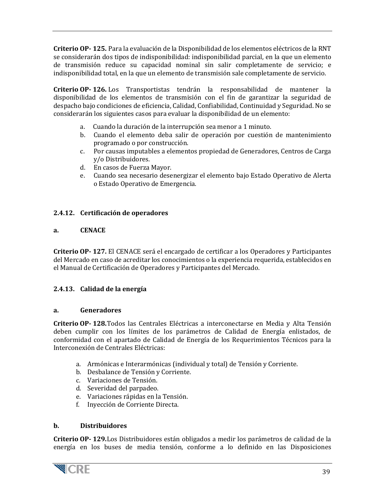**Criterio OP- 125.** Para la evaluación de la Disponibilidad de los elementos eléctricos de la RNT se considerarán dos tipos de indisponibilidad: indisponibilidad parcial, en la que un elemento de transmisión reduce su capacidad nominal sin salir completamente de servicio; e indisponibilidad total, en la que un elemento de transmisión sale completamente de servicio.

**Criterio OP- 126.** Los Transportistas tendrán la responsabilidad de mantener la disponibilidad de los elementos de transmisión con el fin de garantizar la seguridad de despacho bajo condiciones de eficiencia, Calidad, Confiabilidad, Continuidad y Seguridad. No se considerarán los siguientes casos para evaluar la disponibilidad de un elemento:

- a. Cuando la duración de la interrupción sea menor a 1 minuto.
- b. Cuando el elemento deba salir de operación por cuestión de mantenimiento programado o por construcción.
- c. Por causas imputables a elementos propiedad de Generadores, Centros de Carga y/o Distribuidores.
- d. En casos de Fuerza Mayor.
- e. Cuando sea necesario desenergizar el elemento bajo Estado Operativo de Alerta o Estado Operativo de Emergencia.

#### <span id="page-38-0"></span>**2.4.12. Certificación de operadores**

#### **a. CENACE**

**Criterio OP- 127.** El CENACE será el encargado de certificar a los Operadores y Participantes del Mercado en caso de acreditar los conocimientos o la experiencia requerida, establecidos en el Manual de Certificación de Operadores y Participantes del Mercado.

#### <span id="page-38-1"></span>**2.4.13. Calidad de la energía**

#### **a. Generadores**

**Criterio OP- 128.**Todos las Centrales Eléctricas a interconectarse en Media y Alta Tensión deben cumplir con los límites de los parámetros de Calidad de Energía enlistados, de conformidad con el apartado de Calidad de Energía de los Requerimientos Técnicos para la Interconexión de Centrales Eléctricas:

- a. Armónicas e Interarmónicas (individual y total) de Tensión y Corriente.
- b. Desbalance de Tensión y Corriente.
- c. Variaciones de Tensión.
- d. Severidad del parpadeo.
- e. Variaciones rápidas en la Tensión.
- f. Inyección de Corriente Directa.

#### **b. Distribuidores**

**Criterio OP- 129.**Los Distribuidores están obligados a medir los parámetros de calidad de la energía en los buses de media tensión, conforme a lo definido en las Disposiciones

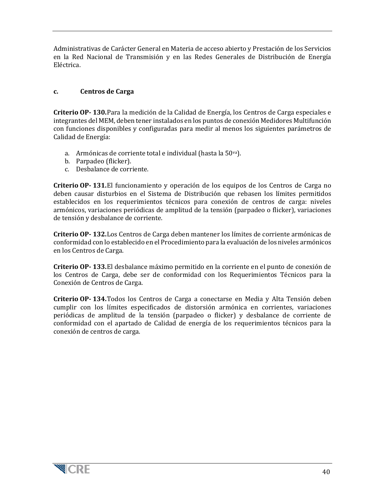Administrativas de Carácter General en Materia de acceso abierto y Prestación de los Servicios en la Red Nacional de Transmisión y en las Redes Generales de Distribución de Energía Eléctrica.

#### **c. Centros de Carga**

**Criterio OP- 130.**Para la medición de la Calidad de Energía, los Centros de Carga especiales e integrantes del MEM, deben tener instalados en los puntos de conexión Medidores Multifunción con funciones disponibles y configuradas para medir al menos los siguientes parámetros de Calidad de Energía:

- a. Armónicas de corriente total e individual (hasta la 50va).
- b. Parpadeo (flicker).
- c. Desbalance de corriente.

**Criterio OP- 131.**El funcionamiento y operación de los equipos de los Centros de Carga no deben causar disturbios en el Sistema de Distribución que rebasen los límites permitidos establecidos en los requerimientos técnicos para conexión de centros de carga: niveles armónicos, variaciones periódicas de amplitud de la tensión (parpadeo o flicker), variaciones de tensión y desbalance de corriente.

**Criterio OP- 132.**Los Centros de Carga deben mantener los límites de corriente armónicas de conformidad con lo establecido en el Procedimiento para la evaluación de los niveles armónicos en los Centros de Carga.

**Criterio OP- 133.**El desbalance máximo permitido en la corriente en el punto de conexión de los Centros de Carga, debe ser de conformidad con los Requerimientos Técnicos para la Conexión de Centros de Carga.

**Criterio OP- 134.**Todos los Centros de Carga a conectarse en Media y Alta Tensión deben cumplir con los límites especificados de distorsión armónica en corrientes, variaciones periódicas de amplitud de la tensión (parpadeo o flicker) y desbalance de corriente de conformidad con el apartado de Calidad de energía de los requerimientos técnicos para la conexión de centros de carga.

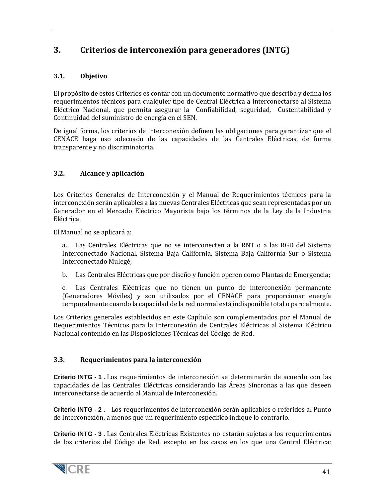# <span id="page-40-0"></span>**3. Criterios de interconexión para generadores (INTG)**

# <span id="page-40-1"></span>**3.1. Objetivo**

El propósito de estos Criterios es contar con un documento normativo que describa y defina los requerimientos técnicos para cualquier tipo de Central Eléctrica a interconectarse al Sistema Eléctrico Nacional, que permita asegurar la Confiabilidad, seguridad, Custentabilidad y Continuidad del suministro de energía en el SEN.

De igual forma, los criterios de interconexión definen las obligaciones para garantizar que el CENACE haga uso adecuado de las capacidades de las Centrales Eléctricas, de forma transparente y no discriminatoria.

## <span id="page-40-2"></span>**3.2. Alcance y aplicación**

Los Criterios Generales de Interconexión y el Manual de Requerimientos técnicos para la interconexión serán aplicables a las nuevas Centrales Eléctricas que sean representadas por un Generador en el Mercado Eléctrico Mayorista bajo los términos de la Ley de la Industria Eléctrica.

El Manual no se aplicará a:

a. Las Centrales Eléctricas que no se interconecten a la RNT o a las RGD del Sistema Interconectado Nacional, Sistema Baja California, Sistema Baja California Sur o Sistema Interconectado Mulegé;

b. Las Centrales Eléctricas que por diseño y función operen como Plantas de Emergencia;

c. Las Centrales Eléctricas que no tienen un punto de interconexión permanente (Generadores Móviles) y son utilizados por el CENACE para proporcionar energía temporalmente cuando la capacidad de la red normal está indisponible total o parcialmente.

Los Criterios generales establecidos en este Capítulo son complementados por el Manual de Requerimientos Técnicos para la Interconexión de Centrales Eléctricas al Sistema Eléctrico Nacional contenido en las Disposiciones Técnicas del Código de Red.

#### <span id="page-40-3"></span>**3.3. Requerimientos para la interconexión**

**Criterio INTG - 1 .** Los requerimientos de interconexión se determinarán de acuerdo con las capacidades de las Centrales Eléctricas considerando las Áreas Síncronas a las que deseen interconectarse de acuerdo al Manual de Interconexión.

**Criterio INTG - 2 .** Los requerimientos de interconexión serán aplicables o referidos al Punto de Interconexión, a menos que un requerimiento específico indique lo contrario.

**Criterio INTG - 3 .** Las Centrales Eléctricas Existentes no estarán sujetas a los requerimientos de los criterios del Código de Red, excepto en los casos en los que una Central Eléctrica:

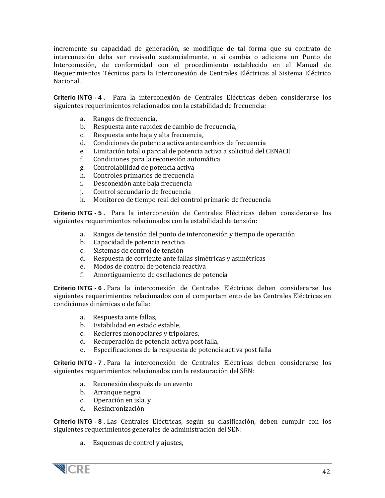incremente su capacidad de generación, se modifique de tal forma que su contrato de interconexión deba ser revisado sustancialmente, o si cambia o adiciona un Punto de Interconexión, de conformidad con el procedimiento establecido en el Manual de Requerimientos Técnicos para la Interconexión de Centrales Eléctricas al Sistema Eléctrico Nacional.

**Criterio INTG - 4 .** Para la interconexión de Centrales Eléctricas deben considerarse los siguientes requerimientos relacionados con la estabilidad de frecuencia:

- a. Rangos de frecuencia,
- b. Respuesta ante rapidez de cambio de frecuencia, c. Respuesta ante baia y alta frecuencia.
- Respuesta ante baja y alta frecuencia,
- d. Condiciones de potencia activa ante cambios de frecuencia
- e. Limitación total o parcial de potencia activa a solicitud del CENACE
- f. Condiciones para la reconexión automática
- g. Controlabilidad de potencia activa
- h. Controles primarios de frecuencia<br>i. Desconexión ante baia frecuencia
- i. Desconexión ante baja frecuencia<br>i. Control secundario de frecuencia
- Control secundario de frecuencia
- k. Monitoreo de tiempo real del control primario de frecuencia

**Criterio INTG - 5 .** Para la interconexión de Centrales Eléctricas deben considerarse los siguientes requerimientos relacionados con la estabilidad de tensión:

- a. Rangos de tensión del punto de interconexión y tiempo de operación
- b. Capacidad de potencia reactiva<br>c. Sistemas de control de tensión
- Sistemas de control de tensión
- d. Respuesta de corriente ante fallas simétricas y asimétricas
- e. Modos de control de potencia reactiva<br>f. Amortiguamiento de oscilaciones de po
- f. Amortiguamiento de oscilaciones de potencia

**Criterio INTG - 6 .** Para la interconexión de Centrales Eléctricas deben considerarse los siguientes requerimientos relacionados con el comportamiento de las Centrales Eléctricas en condiciones dinámicas o de falla:

- a. Respuesta ante fallas,
- b. Estabilidad en estado estable,
- c. Recierres monopolares y tripolares,
- d. Recuperación de potencia activa post falla,
- e. Especificaciones de la respuesta de potencia activa post falla

**Criterio INTG - 7 .** Para la interconexión de Centrales Eléctricas deben considerarse los siguientes requerimientos relacionados con la restauración del SEN:

- a. Reconexión después de un evento
- b. Arranque negro
- c. Operación en isla, y
- d. Resincronización

**Criterio INTG - 8 .** Las Centrales Eléctricas, según su clasificación, deben cumplir con los siguientes requerimientos generales de administración del SEN:

a. Esquemas de control y ajustes,

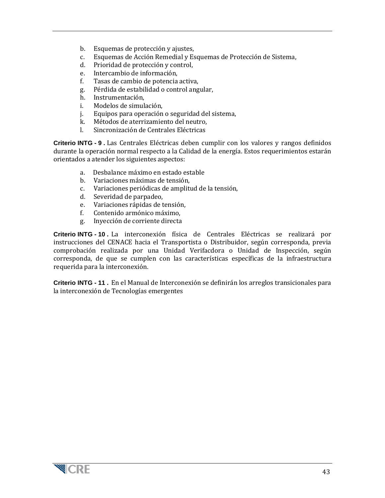- b. Esquemas de protección y ajustes,
- c. Esquemas de Acción Remedial y Esquemas de Protección de Sistema,
- d. Prioridad de protección y control,<br>e. Intercambio de información.
- e. Intercambio de información,
- f. Tasas de cambio de potencia activa,
- g. Pérdida de estabilidad o control angular,
- h. Instrumentación,
- i. Modelos de simulación,
- Equipos para operación o seguridad del sistema,
- k. Métodos de aterrizamiento del neutro,<br>L. Sincronización de Centrales Eléctricas
- Sincronización de Centrales Eléctricas

**Criterio INTG - 9 .** Las Centrales Eléctricas deben cumplir con los valores y rangos definidos durante la operación normal respecto a la Calidad de la energía. Estos requerimientos estarán orientados a atender los siguientes aspectos:

- a. Desbalance máximo en estado estable
- b. Variaciones máximas de tensión,<br>c. Variaciones periódicas de ampliti
- Variaciones periódicas de amplitud de la tensión,
- d. Severidad de parpadeo,
- e. Variaciones rápidas de tensión,<br>f. Contenido armónico máximo.
- f. Contenido armónico máximo,
- g. Inyección de corriente directa

**Criterio INTG - 10 .** La interconexión física de Centrales Eléctricas se realizará por instrucciones del CENACE hacia el Transportista o Distribuidor, según corresponda, previa comprobación realizada por una Unidad Verifacdora o Unidad de Inspección, según corresponda, de que se cumplen con las características específicas de la infraestructura requerida para la interconexión.

**Criterio INTG - 11 .** En el Manual de Interconexión se definirán los arreglos transicionales para la interconexión de Tecnologías emergentes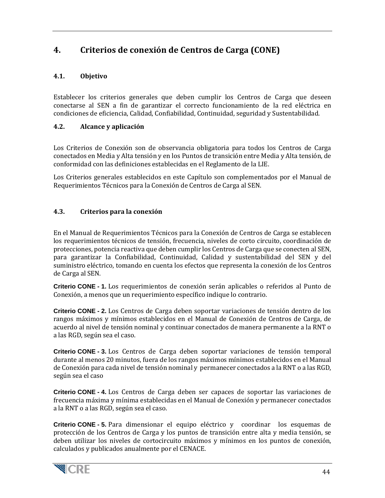# <span id="page-43-0"></span>**4. Criterios de conexión de Centros de Carga (CONE)**

# <span id="page-43-1"></span>**4.1. Objetivo**

Establecer los criterios generales que deben cumplir los Centros de Carga que deseen conectarse al SEN a fin de garantizar el correcto funcionamiento de la red eléctrica en condiciones de eficiencia, Calidad, Confiabilidad, Continuidad, seguridad y Sustentabilidad.

# <span id="page-43-2"></span>**4.2. Alcance y aplicación**

Los Criterios de Conexión son de observancia obligatoria para todos los Centros de Carga conectados en Media y Alta tensión y en los Puntos de transición entre Media y Alta tensión, de conformidad con las definiciones establecidas en el Reglamento de la LIE.

Los Criterios generales establecidos en este Capítulo son complementados por el Manual de Requerimientos Técnicos para la Conexión de Centros de Carga al SEN.

# <span id="page-43-3"></span>**4.3. Criterios para la conexión**

En el Manual de Requerimientos Técnicos para la Conexión de Centros de Carga se establecen los requerimientos técnicos de tensión, frecuencia, niveles de corto circuito, coordinación de protecciones, potencia reactiva que deben cumplir los Centros de Carga que se conecten al SEN, para garantizar la Confiabilidad, Continuidad, Calidad y sustentabilidad del SEN y del suministro eléctrico, tomando en cuenta los efectos que representa la conexión de los Centros de Carga al SEN.

**Criterio CONE - 1.** Los requerimientos de conexión serán aplicables o referidos al Punto de Conexión, a menos que un requerimiento específico indique lo contrario.

**Criterio CONE - 2.** Los Centros de Carga deben soportar variaciones de tensión dentro de los rangos máximos y mínimos establecidos en el Manual de Conexión de Centros de Carga, de acuerdo al nivel de tensión nominal y continuar conectados de manera permanente a la RNT o a las RGD, según sea el caso.

**Criterio CONE - 3.** Los Centros de Carga deben soportar variaciones de tensión temporal durante al menos 20 minutos, fuera de los rangos máximos mínimos establecidos en el Manual de Conexión para cada nivel de tensión nominal y permanecer conectados a la RNT o a las RGD, según sea el caso

**Criterio CONE - 4.** Los Centros de Carga deben ser capaces de soportar las variaciones de frecuencia máxima y mínima establecidas en el Manual de Conexión y permanecer conectados a la RNT o a las RGD, según sea el caso.

**Criterio CONE - 5.** Para dimensionar el equipo eléctrico y coordinar los esquemas de protección de los Centros de Carga y los puntos de transición entre alta y media tensión, se deben utilizar los niveles de cortocircuito máximos y mínimos en los puntos de conexión, calculados y publicados anualmente por el CENACE.

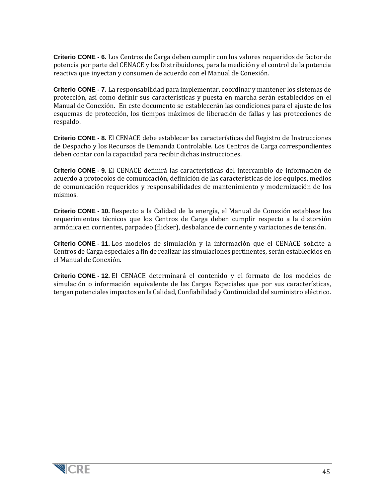**Criterio CONE - 6.** Los Centros de Carga deben cumplir con los valores requeridos de factor de potencia por parte del CENACE y los Distribuidores, para la medición y el control de la potencia reactiva que inyectan y consumen de acuerdo con el Manual de Conexión.

**Criterio CONE - 7.** La responsabilidad para implementar, coordinar y mantener los sistemas de protección, así como definir sus características y puesta en marcha serán establecidos en el Manual de Conexión. En este documento se establecerán las condiciones para el ajuste de los esquemas de protección, los tiempos máximos de liberación de fallas y las protecciones de respaldo.

**Criterio CONE - 8.** El CENACE debe establecer las características del Registro de Instrucciones de Despacho y los Recursos de Demanda Controlable. Los Centros de Carga correspondientes deben contar con la capacidad para recibir dichas instrucciones.

**Criterio CONE - 9.** El CENACE definirá las características del intercambio de información de acuerdo a protocolos de comunicación, definición de las características de los equipos, medios de comunicación requeridos y responsabilidades de mantenimiento y modernización de los mismos.

**Criterio CONE - 10.** Respecto a la Calidad de la energía, el Manual de Conexión establece los requerimientos técnicos que los Centros de Carga deben cumplir respecto a la distorsión armónica en corrientes, parpadeo (flicker), desbalance de corriente y variaciones de tensión.

**Criterio CONE - 11.** Los modelos de simulación y la información que el CENACE solicite a Centros de Carga especiales a fin de realizar las simulaciones pertinentes, serán establecidos en el Manual de Conexión.

**Criterio CONE - 12.** El CENACE determinará el contenido y el formato de los modelos de simulación o información equivalente de las Cargas Especiales que por sus características, tengan potenciales impactos en la Calidad, Confiabilidad y Continuidad del suministro eléctrico.

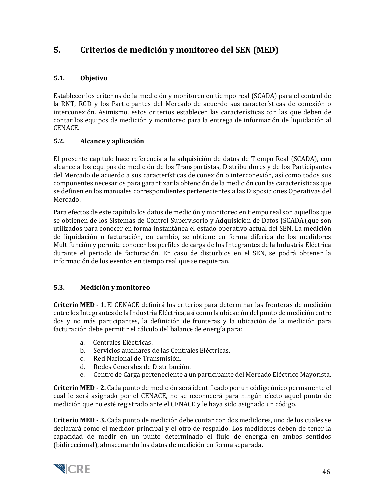# <span id="page-45-0"></span>**5. Criterios de medición y monitoreo del SEN (MED)**

# <span id="page-45-1"></span>**5.1. Objetivo**

Establecer los criterios de la medición y monitoreo en tiempo real (SCADA) para el control de la RNT, RGD y los Participantes del Mercado de acuerdo sus características de conexión o interconexión. Asimismo, estos criterios establecen las características con las que deben de contar los equipos de medición y monitoreo para la entrega de información de liquidación al CENACE.

# <span id="page-45-2"></span>**5.2. Alcance y aplicación**

El presente capitulo hace referencia a la adquisición de datos de Tiempo Real (SCADA), con alcance a los equipos de medición de los Transportistas, Distribuidores y de los Participantes del Mercado de acuerdo a sus características de conexión o interconexión, así como todos sus componentes necesarios para garantizar la obtención de la medición con las características que se definen en los manuales correspondientes pertenecientes a las Disposiciones Operativas del Mercado.

Para efectos de este capítulo los datos de medición y monitoreo en tiempo real son aquellos que se obtienen de los Sistemas de Control Supervisorio y Adquisición de Datos (SCADA),que son utilizados para conocer en forma instantánea el estado operativo actual del SEN. La medición de liquidación o facturación, en cambio, se obtiene en forma diferida de los medidores Multifunción y permite conocer los perfiles de carga de los Integrantes de la Industria Eléctrica durante el periodo de facturación. En caso de disturbios en el SEN, se podrá obtener la información de los eventos en tiempo real que se requieran.

# <span id="page-45-3"></span>**5.3. Medición y monitoreo**

 **Criterio MED - 1.** El CENACE definirá los criterios para determinar las fronteras de medición entre los Integrantes de la Industria Eléctrica, así como la ubicación del punto de medición entre dos y no más participantes, la definición de fronteras y la ubicación de la medición para facturación debe permitir el cálculo del balance de energía para:

- a. Centrales Eléctricas.<br>b Servicios auxiliares qu
- b. Servicios auxiliares de las Centrales Eléctricas.<br>C. Red Nacional de Transmisión
- c. Red Nacional de Transmisión.<br>d. Redes Generales de Distribucion
- Redes Generales de Distribución.
- e. Centro de Carga perteneciente a un participante del Mercado Eléctrico Mayorista.

 **Criterio MED - 2.** Cada punto de medición será identificado por un código único permanente el cual le será asignado por el CENACE, no se reconocerá para ningún efecto aquel punto de medición que no esté registrado ante el CENACE y le haya sido asignado un código.

 **Criterio MED - 3.** Cada punto de medición debe contar con dos medidores, uno de los cuales se declarará como el medidor principal y el otro de respaldo. Los medidores deben de tener la capacidad de medir en un punto determinado el flujo de energía en ambos sentidos (bidireccional), almacenando los datos de medición en forma separada.

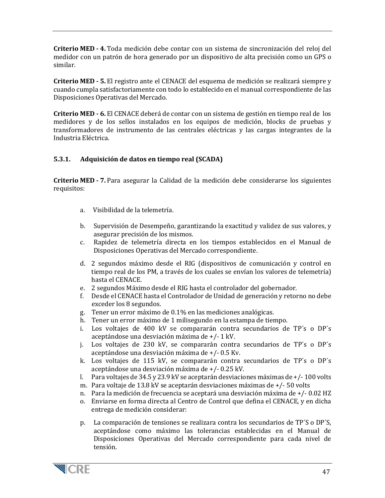**Criterio MED - 4.** Toda medición debe contar con un sistema de sincronización del reloj del medidor con un patrón de hora generado por un dispositivo de alta precisión como un GPS o similar.

 **Criterio MED - 5.** El registro ante el CENACE del esquema de medición se realizará siempre y cuando cumpla satisfactoriamente con todo lo establecido en el manual correspondiente de las Disposiciones Operativas del Mercado.

 **Criterio MED - 6.** El CENACE deberá de contar con un sistema de gestión en tiempo real de los medidores y de los sellos instalados en los equipos de medición, blocks de pruebas y transformadores de instrumento de las centrales eléctricas y las cargas integrantes de la Industria Eléctrica.

#### <span id="page-46-0"></span>**5.3.1. Adquisición de datos en tiempo real (SCADA)**

 **Criterio MED - 7.** Para asegurar la Calidad de la medición debe considerarse los siguientes requisitos:

- a. Visibilidad de la telemetría.
- b. Supervisión de Desempeño, garantizando la exactitud y validez de sus valores, y asegurar precisión de los mismos.
- c. Rapidez de telemetría directa en los tiempos establecidos en el Manual de Disposiciones Operativas del Mercado correspondiente.
- d. 2 segundos máximo desde el RIG (dispositivos de comunicación y control en tiempo real de los PM, a través de los cuales se envían los valores de telemetría) hasta el CENACE.
- e. 2 segundos Máximo desde el RIG hasta el controlador del gobernador.
- f. Desde el CENACE hasta el Controlador de Unidad de generación y retorno no debe exceder los 8 segundos.
- g. Tener un error máximo de 0.1% en las mediciones analógicas.
- h. Tener un error máximo de 1 milisegundo en la estampa de tiempo.
- i. Los voltajes de 400 kV se compararán contra secundarios de TP´s o DP´s aceptándose una desviación máxima de +/- 1 kV.
- j. Los voltajes de 230 kV, se compararán contra secundarios de TP´s o DP´s aceptándose una desviación máxima de +/- 0.5 Kv.
- k. Los voltajes de 115 kV, se compararán contra secundarios de TP´s o DP´s aceptándose una desviación máxima de +/- 0.25 kV.
- l. Para voltajes de 34.5 y 23.9 kV se aceptarán desviaciones máximas de +/- 100 volts
- m. Para voltaje de 13.8 kV se aceptarán desviaciones máximas de +/- 50 volts
- n. Para la medición de frecuencia se aceptará una desviación máxima de +/- 0.02 HZ
- o. Enviarse en forma directa al Centro de Control que defina el CENACE, y en dicha entrega de medición considerar:
- p. La comparación de tensiones se realizara contra los secundarios de TP´S o DP´S, aceptándose como máximo las tolerancias establecidas en el Manual de Disposiciones Operativas del Mercado correspondiente para cada nivel de tensión.

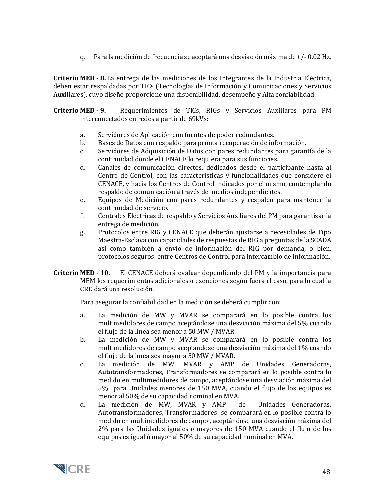q. Para la medición de frecuencia se aceptará una desviación máxima de +/- 0.02 Hz.

 **Criterio MED - 8.** La entrega de las mediciones de los Integrantes de la Industria Eléctrica, deben estar respaldadas por TICs (Tecnologías de Información y Comunicaciones-y Servicios Auxiliares), cuyo diseño proporcione una disponibilidad, desempeño y Alta confiabilidad.

 **Criterio MED - 9.** Requerimientos de TICs, RIGs y Servicios Auxiliares para PM interconectados en redes a partir de 69kVs:

- a. Servidores de Aplicación con fuentes de poder redundantes.<br>b. Bases de Datos con respaldo para pronta recuperación de inf
- b. Bases de Datos con respaldo para pronta recuperación de información.<br>C. Servidores de Adquisición de Datos con pares redundantes para garan
- Servidores de Adquisición de Datos con pares redundantes para garantía de la continuidad donde el CENACE lo requiera para sus funciones.
- d. Canales de comunicación directos, dedicados desde el participante hasta al Centro de Control, con las características y funcionalidades que considere el CENACE, y hacia los Centros de Control indicados por el mismo, contemplando respaldo de comunicación a través de medios independientes.
- e. Equipos de Medición con pares redundantes y respaldo para mantener la continuidad de servicio.
- f. Centrales Eléctricas de respaldo y Servicios Auxiliares del PM para garantizar la entrega de medición.
- g. Protocolos entre RIG y CENACE que deberán ajustarse a necesidades de Tipo Maestra-Esclava con capacidades de respuestas de RIG a preguntas de la SCADA así como también a envío de información del RIG por demanda, o bien, protocolos seguros entre Centros de Control para intercambio de información.
- **Criterio MED - 10.** El CENACE deberá evaluar dependiendo del PM y la importancia para MEM los requerimientos adicionales o exenciones según fuera el caso, para lo cual la CRE dará una resolución.

Para asegurar la confiabilidad en la medición se deberá cumplir con:

- a. La medición de MW y MVAR se comparará en lo posible contra los multimedidores de campo aceptándose una desviación máxima del 5% cuando el flujo de la línea sea menor a 50 MW / MVAR.
- b. La medición de MW y MVAR se comparará en lo posible contra los multimedidores de campo aceptándose una desviación máxima del 1% cuando el flujo de la línea sea mayor a 50 MW / MVAR.
- c. La medición de MW, MVAR y AMP de Unidades Generadoras, Autotransformadores, Transformadores se comparará en lo posible contra lo medido en multimedidores de campo, aceptándose una desviación máxima del 5% para Unidades menores de 150 MVA, cuando el flujo de los equipos es menor al 50% de su capacidad nominal en MVA.<br>La medición de MW, MVAR y AMP de
- d. La medición de MW, MVAR y AMP de Unidades Generadoras, Autotransformadores, Transformadores se comparará en lo posible contra lo medido en multimedidores de campo , aceptándose una desviación máxima del 2% para las Unidades iguales o mayores de 150 MVA cuando el flujo de los equipos es igual ó mayor al 50% de su capacidad nominal en MVA.

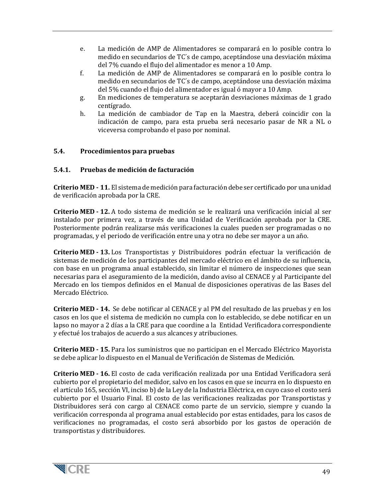- e. La medición de AMP de Alimentadores se comparará en lo posible contra lo medido en secundarios de TC´s de campo, aceptándose una desviación máxima del 7% cuando el flujo del alimentador es menor a 10 Amp.
- f. La medición de AMP de Alimentadores se comparará en lo posible contra lo medido en secundarios de TC´s de campo, aceptándose una desviación máxima del 5% cuando el flujo del alimentador es igual ó mayor a 10 Amp.
- g. En mediciones de temperatura se aceptarán desviaciones máximas de 1 grado centígrado.
- h. La medición de cambiador de Tap en la Maestra, deberá coincidir con la indicación de campo, para esta prueba será necesario pasar de NR a NL o viceversa comprobando el paso por nominal.

#### <span id="page-48-0"></span>**5.4. Procedimientos para pruebas**

#### <span id="page-48-1"></span>**5.4.1. Pruebas de medición de facturación**

 **Criterio MED - 11.** El sistema de medición para facturación debe ser certificado por una unidad de verificación aprobada por la CRE.

 **Criterio MED - 12.** A todo sistema de medición se le realizará una verificación inicial al ser instalado por primera vez, a través de una Unidad de Verificación aprobada por la CRE. Posteriormente podrán realizarse más verificaciones la cuales pueden ser programadas o no programadas, y el periodo de verificación entre una y otra no debe ser mayor a un año.

 **Criterio MED - 13.** Los Transportistas y Distribuidores podrán efectuar la verificación de sistemas de medición de los participantes del mercado eléctrico en el ámbito de su influencia, con base en un programa anual establecido, sin limitar el número de inspecciones que sean necesarias para el aseguramiento de la medición, dando aviso al CENACE y al Participante del Mercado en los tiempos definidos en el Manual de disposiciones operativas de las Bases del Mercado Eléctrico.

 **Criterio MED - 14.** Se debe notificar al CENACE y al PM del resultado de las pruebas y en los casos en los que el sistema de medición no cumpla con lo establecido, se debe notificar en un lapso no mayor a 2 días a la CRE para que coordine a la Entidad Verificadora correspondiente y efectué los trabajos de acuerdo a sus alcances y atribuciones.

 **Criterio MED - 15.** Para los suministros que no participan en el Mercado Eléctrico Mayorista se debe aplicar lo dispuesto en el Manual de Verificación de Sistemas de Medición.

 **Criterio MED - 16.** El costo de cada verificación realizada por una Entidad Verificadora será cubierto por el propietario del medidor, salvo en los casos en que se incurra en lo dispuesto en el artículo 165, sección VI, inciso b) de la Ley de la Industria Eléctrica, en cuyo caso el costo será cubierto por el Usuario Final. El costo de las verificaciones realizadas por Transportistas y Distribuidores será con cargo al CENACE como parte de un servicio, siempre y cuando la verificación corresponda al programa anual establecido por estas entidades, para los casos de verificaciones no programadas, el costo será absorbido por los gastos de operación de transportistas y distribuidores.

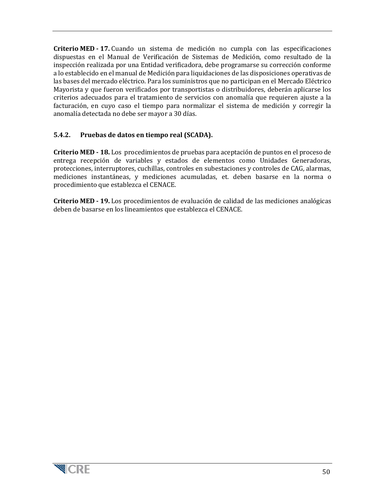**Criterio MED - 17.** Cuando un sistema de medición no cumpla con las especificaciones dispuestas en el Manual de Verificación de Sistemas de Medición, como resultado de la inspección realizada por una Entidad verificadora, debe programarse su corrección conforme a lo establecido en el manual de Medición para liquidaciones de las disposiciones operativas de las bases del mercado eléctrico. Para los suministros que no participan en el Mercado Eléctrico Mayorista y que fueron verificados por transportistas o distribuidores, deberán aplicarse los criterios adecuados para el tratamiento de servicios con anomalía que requieren ajuste a la facturación, en cuyo caso el tiempo para normalizar el sistema de medición y corregir la anomalía detectada no debe ser mayor a 30 días.

## <span id="page-49-0"></span>**5.4.2. Pruebas de datos en tiempo real (SCADA).**

 **Criterio MED - 18.** Los procedimientos de pruebas para aceptación de puntos en el proceso de entrega recepción de variables y estados de elementos como Unidades Generadoras, protecciones, interruptores, cuchillas, controles en subestaciones y controles de CAG, alarmas, mediciones instantáneas, y mediciones acumuladas, et. deben basarse en la norma o procedimiento que establezca el CENACE.

 **Criterio MED - 19.** Los procedimientos de evaluación de calidad de las mediciones analógicas deben de basarse en los lineamientos que establezca el CENACE.

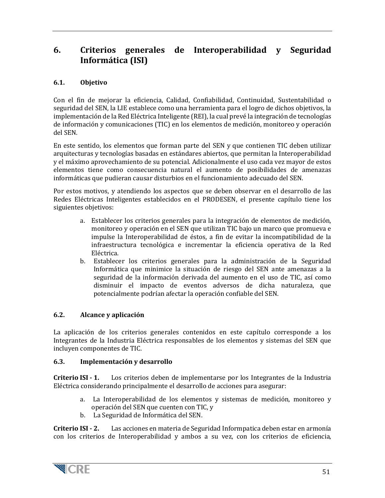# <span id="page-50-0"></span>**6. Criterios generales de Interoperabilidad y Seguridad Informática (ISI)**

# <span id="page-50-1"></span>**6.1. Objetivo**

Con el fin de mejorar la eficiencia, Calidad, Confiabilidad, Continuidad, Sustentabilidad o seguridad del SEN, la LIE establece como una herramienta para el logro de dichos objetivos, la implementación de la Red Eléctrica Inteligente (REI), la cual prevé la integración de tecnologías de información y comunicaciones (TIC) en los elementos de medición, monitoreo y operación del SEN.

En este sentido, los elementos que forman parte del SEN y que contienen TIC deben utilizar arquitecturas y tecnologías basadas en estándares abiertos, que permitan la Interoperabilidad y el máximo aprovechamiento de su potencial. Adicionalmente el uso cada vez mayor de estos elementos tiene como consecuencia natural el aumento de posibilidades de amenazas informáticas que pudieran causar disturbios en el funcionamiento adecuado del SEN.

Por estos motivos, y atendiendo los aspectos que se deben observar en el desarrollo de las Redes Eléctricas Inteligentes establecidos en el PRODESEN, el presente capítulo tiene los siguientes objetivos:

- a. Establecer los criterios generales para la integración de elementos de medición, monitoreo y operación en el SEN que utilizan TIC bajo un marco que promueva e impulse la Interoperabilidad de éstos, a fin de evitar la incompatibilidad de la infraestructura tecnológica e incrementar la eficiencia operativa de la Red Eléctrica.
- b. Establecer los criterios generales para la administración de la Seguridad Informática que minimice la situación de riesgo del SEN ante amenazas a la seguridad de la información derivada del aumento en el uso de TIC, así como disminuir el impacto de eventos adversos de dicha naturaleza, que potencialmente podrían afectar la operación confiable del SEN.

#### <span id="page-50-2"></span>**6.2. Alcance y aplicación**

La aplicación de los criterios generales contenidos en este capítulo corresponde a los Integrantes de la Industria Eléctrica responsables de los elementos y sistemas del SEN que incluyen componentes de TIC.

#### <span id="page-50-3"></span>**6.3. Implementación y desarrollo**

**Criterio ISI - 1.** Los criterios deben de implementarse por los Integrantes de la Industria Eléctrica considerando principalmente el desarrollo de acciones para asegurar:

- a. La Interoperabilidad de los elementos y sistemas de medición, monitoreo y operación del SEN que cuenten con TIC, y
- b. La Seguridad de Informática del SEN.

**Criterio ISI - 2.** Las acciones en materia de Seguridad Informpatica deben estar en armonía con los criterios de Interoperabilidad y ambos a su vez, con los criterios de eficiencia,

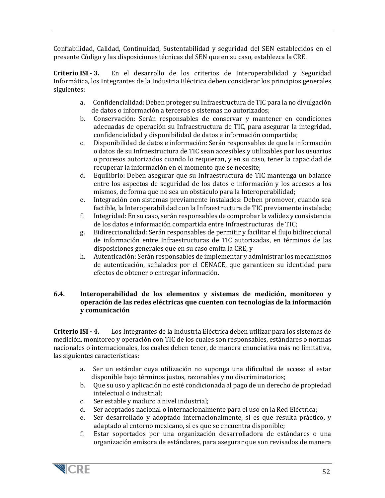Confiabilidad, Calidad, Continuidad, Sustentabilidad y seguridad del SEN establecidos en el presente Código y las disposiciones técnicas del SEN que en su caso, establezca la CRE.

**Criterio ISI - 3.** En el desarrollo de los criterios de Interoperabilidad y Seguridad Informática, los Integrantes de la Industria Eléctrica deben considerar los principios generales siguientes:

- a. Confidencialidad: Deben proteger su Infraestructura de TIC para la no divulgación de datos o información a terceros o sistemas no autorizados;
- b. Conservación: Serán responsables de conservar y mantener en condiciones adecuadas de operación su Infraestructura de TIC, para asegurar la integridad, confidencialidad y disponibilidad de datos e información compartida;
- c. Disponibilidad de datos e información: Serán responsables de que la información o datos de su Infraestructura de TIC sean accesibles y utilizables por los usuarios o procesos autorizados cuando lo requieran, y en su caso, tener la capacidad de recuperar la información en el momento que se necesite;
- d. Equilibrio: Deben asegurar que su Infraestructura de TIC mantenga un balance entre los aspectos de seguridad de los datos e información y los accesos a los mismos, de forma que no sea un obstáculo para la Interoperabilidad;
- e. Integración con sistemas previamente instalados: Deben promover, cuando sea factible, la Interoperabilidad con la Infraestructura de TIC previamente instalada;
- f. Integridad: En su caso, serán responsables de comprobar la validez y consistencia de los datos e información compartida entre Infraestructuras de TIC;
- g. Bidireccionalidad: Serán responsables de permitir y facilitar el flujo bidireccional de información entre Infraestructuras de TIC autorizadas, en términos de las disposiciones generales que en su caso emita la CRE, y
- h. Autenticación: Serán responsables de implementar y administrar los mecanismos de autenticación, señalados por el CENACE, que garanticen su identidad para efectos de obtener o entregar información.

#### <span id="page-51-0"></span>**6.4. Interoperabilidad de los elementos y sistemas de medición, monitoreo y operación de las redes eléctricas que cuenten con tecnologías de la información y comunicación**

**Criterio ISI - 4.** Los Integrantes de la Industria Eléctrica deben utilizar para los sistemas de medición, monitoreo y operación con TIC de los cuales son responsables, estándares o normas nacionales o internacionales, los cuales deben tener, de manera enunciativa más no limitativa, las siguientes características:

- a. Ser un estándar cuya utilización no suponga una dificultad de acceso al estar disponible bajo términos justos, razonables y no discriminatorios;
- b. Que su uso y aplicación no esté condicionada al pago de un derecho de propiedad intelectual o industrial;
- c. Ser estable y maduro a nivel industrial;
- d. Ser aceptados nacional o internacionalmente para el uso en la Red Eléctrica;<br>e. Ser desarrollado y adontado internacionalmente, si es que resulta práctionalmente
- Ser desarrollado y adoptado internacionalmente, si es que resulta práctico, y adaptado al entorno mexicano, si es que se encuentra disponible;
- f. Estar soportados por una organización desarrolladora de estándares o una organización emisora de estándares, para asegurar que son revisados de manera

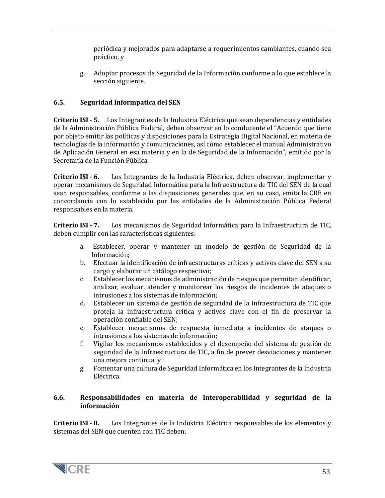periódica y mejorados para adaptarse a requerimientos cambiantes, cuando sea práctico, y

g. Adoptar procesos de Seguridad de la Información conforme a lo que establece la sección siguiente.

# <span id="page-52-0"></span>**6.5. Seguridad Informpatica del SEN**

**Criterio ISI - 5.** Los Integrantes de la Industria Eléctrica que sean dependencias y entidades de la Administración Pública Federal, deben observar en lo conducente el "Acuerdo que tiene por objeto emitir las políticas y disposiciones para la Estrategia Digital Nacional, en materia de tecnologías de la información y comunicaciones, así como establecer el manual Administrativo de Aplicación General en esa materia y en la de Seguridad de la Información", emitido por la Secretaría de la Función Pública.

**Criterio ISI - 6.** Los Integrantes de la Industria Eléctrica, deben observar, implementar y operar mecanismos de Seguridad Informática para la Infraestructura de TIC del SEN de la cual sean responsables, conforme a las disposiciones generales que, en su caso, emita la CRE en concordancia con lo establecido por las entidades de la Administración Pública Federal responsables en la materia.

**Criterio ISI - 7.** Los mecanismos de Seguridad Informática para la Infraestructura de TIC, deben cumplir con las características siguientes:

- a. Establecer, operar y mantener un modelo de gestión de Seguridad de la Información;
- b. Efectuar la identificación de infraestructuras críticas y activos clave del SEN a su cargo y elaborar un catálogo respectivo;
- c. Establecer los mecanismos de administración de riesgos que permitan identificar, analizar, evaluar, atender y monitorear los riesgos de incidentes de ataques o intrusiones a los sistemas de información;
- d. Establecer un sistema de gestión de seguridad de la Infraestructura de TIC que proteja la infraestructura crítica y activos clave con el fin de preservar la operación confiable del SEN;
- e. Establecer mecanismos de respuesta inmediata a incidentes de ataques o intrusiones a los sistemas de información;
- f. Vigilar los mecanismos establecidos y el desempeño del sistema de gestión de seguridad de la Infraestructura de TIC, a fin de prever desviaciones y mantener una mejora continua, y
- g. Fomentar una cultura de Seguridad Informática en los Integrantes de la Industria Eléctrica.

#### <span id="page-52-1"></span>**6.6. Responsabilidades en materia de Interoperabilidad y seguridad de la información**

**Criterio ISI - 8.** Los Integrantes de la Industria Eléctrica responsables de los elementos y sistemas del SEN que cuenten con TIC deben:

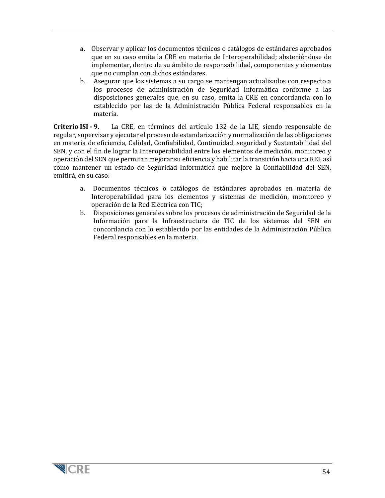- a. Observar y aplicar los documentos técnicos o catálogos de estándares aprobados que en su caso emita la CRE en materia de Interoperabilidad; absteniéndose de implementar, dentro de su ámbito de responsabilidad, componentes y elementos que no cumplan con dichos estándares.
- b. Asegurar que los sistemas a su cargo se mantengan actualizados con respecto a los procesos de administración de Seguridad Informática conforme a las disposiciones generales que, en su caso, emita la CRE en concordancia con lo establecido por las de la Administración Pública Federal responsables en la materia.

**Criterio ISI - 9.** La CRE, en términos del artículo 132 de la LIE, siendo responsable de regular, supervisar y ejecutar el proceso de estandarización y normalización de las obligaciones en materia de eficiencia, Calidad, Confiabilidad, Continuidad, seguridad y Sustentabilidad del SEN, y con el fin de lograr la Interoperabilidad entre los elementos de medición, monitoreo y operación del SEN que permitan mejorar su eficiencia y habilitar la transición hacia una REI, así como mantener un estado de Seguridad Informática que mejore la Confiabilidad del SEN, emitirá, en su caso:

- a. Documentos técnicos o catálogos de estándares aprobados en materia de Interoperabilidad para los elementos y sistemas de medición, monitoreo y operación de la Red Eléctrica con TIC;
- b. Disposiciones generales sobre los procesos de administración de Seguridad de la Información para la Infraestructura de TIC de los sistemas del SEN en concordancia con lo establecido por las entidades de la Administración Pública Federal responsables en la materia.

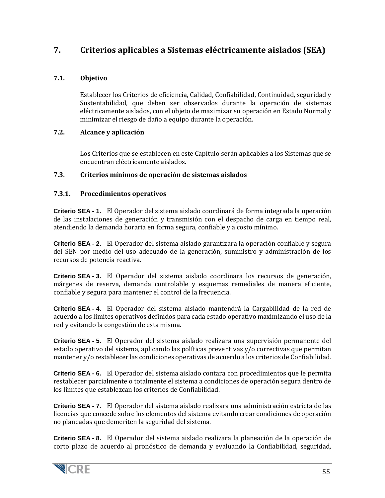# <span id="page-54-0"></span>**7. Criterios aplicables a Sistemas eléctricamente aislados (SEA)**

## <span id="page-54-1"></span>**7.1. Objetivo**

Establecer los Criterios de eficiencia, Calidad, Confiabilidad, Continuidad, seguridad y Sustentabilidad, que deben ser observados durante la operación de sistemas eléctricamente aislados, con el objeto de maximizar su operación en Estado Normal y minimizar el riesgo de daño a equipo durante la operación.

#### <span id="page-54-2"></span>**7.2. Alcance y aplicación**

Los Criterios que se establecen en este Capítulo serán aplicables a los Sistemas que se encuentran eléctricamente aislados.

#### <span id="page-54-3"></span>**7.3. Criterios mínimos de operación de sistemas aislados**

#### <span id="page-54-4"></span>**7.3.1. Procedimientos operativos**

**Criterio SEA - 1.** El Operador del sistema aislado coordinará de forma integrada la operación de las instalaciones de generación y transmisión con el despacho de carga en tiempo real, atendiendo la demanda horaria en forma segura, confiable y a costo mínimo.

**Criterio SEA - 2.** El Operador del sistema aislado garantizara la operación confiable y segura del SEN por medio del uso adecuado de la generación, suministro y administración de los recursos de potencia reactiva.

**Criterio SEA - 3.** El Operador del sistema aislado coordinara los recursos de generación, márgenes de reserva, demanda controlable y esquemas remediales de manera eficiente, confiable y segura para mantener el control de la frecuencia.

**Criterio SEA - 4.** El Operador del sistema aislado mantendrá la Cargabilidad de la red de acuerdo a los límites operativos definidos para cada estado operativo maximizando el uso de la red y evitando la congestión de esta misma.

**Criterio SEA - 5.** El Operador del sistema aislado realizara una supervisión permanente del estado operativo del sistema, aplicando las políticas preventivas y/o correctivas que permitan mantener y/o restablecer las condiciones operativas de acuerdo a los criterios de Confiabilidad.

**Criterio SEA - 6.** El Operador del sistema aislado contara con procedimientos que le permita restablecer parcialmente o totalmente el sistema a condiciones de operación segura dentro de los límites que establezcan los criterios de Confiabilidad.

**Criterio SEA - 7.** El Operador del sistema aislado realizara una administración estricta de las licencias que concede sobre los elementos del sistema evitando crear condiciones de operación no planeadas que demeriten la seguridad del sistema.

**Criterio SEA - 8.** El Operador del sistema aislado realizara la planeación de la operación de corto plazo de acuerdo al pronóstico de demanda y evaluando la Confiabilidad, seguridad,

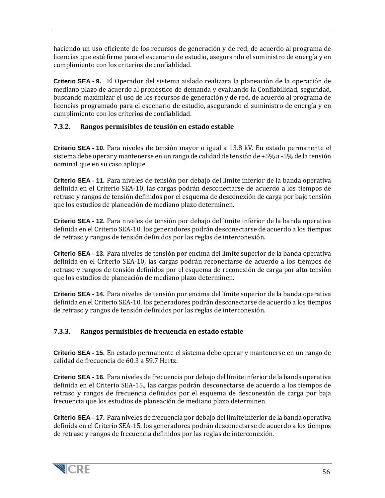haciendo un uso eficiente de los recursos de generación y de red, de acuerdo al programa de licencias que esté firme para el escenario de estudio, asegurando el suministro de energía y en cumplimiento con los criterios de confiablidad.

**Criterio SEA - 9.** El Operador del sistema aislado realizara la planeación de la operación de mediano plazo de acuerdo al pronóstico de demanda y evaluando la Confiabilidad, seguridad, buscando maximizar el uso de los recursos de generación y de red, de acuerdo al programa de licencias programado para el escenario de estudio, asegurando el suministro de energía y en cumplimiento con los criterios de confiablidad.

#### <span id="page-55-0"></span>**7.3.2. Rangos permisibles de tensión en estado estable**

**Criterio SEA - 10.** Para niveles de tensión mayor o igual a 13.8 kV. En estado permanente el sistema debe operar y mantenerse en un rango de calidad de tensión de +5% a -5% de la tensión nominal que en su caso aplique.

**Criterio SEA - 11.** Para niveles de tensión por debajo del límite inferior de la banda operativa definida en el Criterio SEA-10, las cargas podrán desconectarse de acuerdo a los tiempos de retraso y rangos de tensión definidos por el esquema de desconexión de carga por bajo tensión que los estudios de planeación de mediano plazo determinen.

**Criterio SEA - 12.** Para niveles de tensión por debajo del límite inferior de la banda operativa definida en el Criterio SEA-10, los generadores podrán desconectarse de acuerdo a los tiempos de retraso y rangos de tensión definidos por las reglas de interconexión.

**Criterio SEA - 13.** Para niveles de tensión por encima del límite superior de la banda operativa definida en el Criterio SEA-10, las cargas podrán reconectarse de acuerdo a los tiempos de retraso y rangos de tensión definidos por el esquema de reconexión de carga por alto tensión que los estudios de planeación de mediano plazo determinen.

**Criterio SEA - 14.** Para niveles de tensión por encima del límite superior de la banda operativa definida en el Criterio SEA-10, los generadores podrán desconectarse de acuerdo a los tiempos de retraso y rangos de tensión definidos por las reglas de interconexión.

# <span id="page-55-1"></span>**7.3.3. Rangos permisibles de frecuencia en estado estable**

**Criterio SEA - 15.** En estado permanente el sistema debe operar y mantenerse en un rango de calidad de frecuencia de 60.3 a 59.7 Hertz.

**Criterio SEA - 16.** Para niveles de frecuencia por debajo del límite inferior de la banda operativa definida en el Criterio SEA-15., las cargas podrán desconectarse de acuerdo a los tiempos de retraso y rangos de frecuencia definidos por el esquema de desconexión de carga por baja frecuencia que los estudios de planeación de mediano plazo determinen.

**Criterio SEA - 17.** Para niveles de frecuencia por debajo del límite inferior de la banda operativa definida en el Criterio SEA-15, los generadores podrán desconectarse de acuerdo a los tiempos de retraso y rangos de frecuencia definidos por las reglas de interconexión.

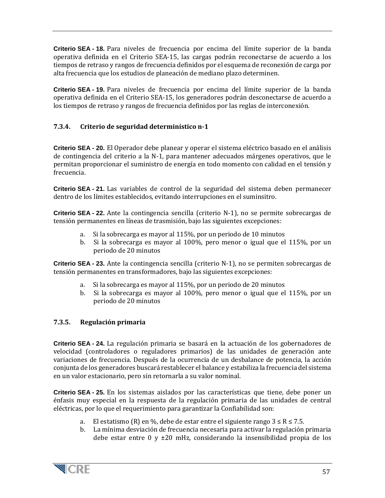**Criterio SEA - 18.** Para niveles de frecuencia por encima del límite superior de la banda operativa definida en el Criterio SEA-15, las cargas podrán reconectarse de acuerdo a los tiempos de retraso y rangos de frecuencia definidos por el esquema de reconexión de carga por alta frecuencia que los estudios de planeación de mediano plazo determinen.

**Criterio SEA - 19.** Para niveles de frecuencia por encima del límite superior de la banda operativa definida en el Criterio SEA-15, los generadores podrán desconectarse de acuerdo a los tiempos de retraso y rangos de frecuencia definidos por las reglas de interconexión.

#### <span id="page-56-0"></span>**7.3.4. Criterio de seguridad determinístico n-1**

**Criterio SEA - 20.** El Operador debe planear y operar el sistema eléctrico basado en el análisis de contingencia del criterio a la N-1, para mantener adecuados márgenes operativos, que le permitan proporcionar el suministro de energía en todo momento con calidad en el tensión y frecuencia.

**Criterio SEA - 21.** Las variables de control de la seguridad del sistema deben permanecer dentro de los límites establecidos, evitando interrupciones en el suminsitro.

**Criterio SEA - 22.** Ante la contingencia sencilla (criterio N-1), no se permite sobrecargas de tensión permanentes en líneas de trasmisión, bajo las siguientes excepciones:

- a. Si la sobrecarga es mayor al 115%, por un periodo de 10 minutos
- b. Si la sobrecarga es mayor al 100%, pero menor o igual que el 115%, por un periodo de 20 minutos

**Criterio SEA - 23.** Ante la contingencia sencilla (criterio N-1), no se permiten sobrecargas de tensión permanentes en transformadores, bajo las siguientes excepciones:

- a. Si la sobrecarga es mayor al 115%, por un periodo de 20 minutos
- b. Si la sobrecarga es mayor al 100%, pero menor o igual que el 115%, por un periodo de 20 minutos

#### <span id="page-56-1"></span>**7.3.5. Regulación primaria**

**Criterio SEA - 24.** La regulación primaria se basará en la actuación de los gobernadores de velocidad (controladores o reguladores primarios) de las unidades de generación ante variaciones de frecuencia. Después de la ocurrencia de un desbalance de potencia, la acción conjunta de los generadores buscará restablecer el balance y estabiliza la frecuencia del sistema en un valor estacionario, pero sin retornarla a su valor nominal.

**Criterio SEA - 25.** En los sistemas aislados por las características que tiene, debe poner un énfasis muy especial en la respuesta de la regulación primaria de las unidades de central eléctricas, por lo que el requerimiento para garantizar la Confiabilidad son:

- a. El estatismo (R) en %, debe de estar entre el siguiente rango  $3 \le R \le 7.5$ .
- b. La mínima desviación de frecuencia necesaria para activar la regulación primaria debe estar entre 0 y  $\pm 20$  mHz, considerando la insensibilidad propia de los

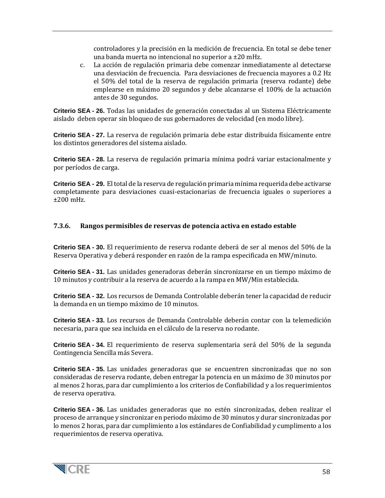controladores y la precisión en la medición de frecuencia. En total se debe tener una banda muerta no intencional no superior a ±20 mHz.

c. La acción de regulación primaria debe comenzar inmediatamente al detectarse una desviación de frecuencia. Para desviaciones de frecuencia mayores a 0.2 Hz el 50% del total de la reserva de regulación primaria (reserva rodante) debe emplearse en máximo 20 segundos y debe alcanzarse el 100% de la actuación antes de 30 segundos.

**Criterio SEA - 26.** Todas las unidades de generación conectadas al un Sistema Eléctricamente aislado deben operar sin bloqueo de sus gobernadores de velocidad (en modo libre).

**Criterio SEA - 27.** La reserva de regulación primaria debe estar distribuida físicamente entre los distintos generadores del sistema aislado.

**Criterio SEA - 28.** La reserva de regulación primaria mínima podrá variar estacionalmente y por períodos de carga.

**Criterio SEA - 29.** El total de la reserva de regulación primaria mínima requerida debe activarse completamente para desviaciones cuasi-estacionarias de frecuencia iguales o superiores a ±200 mHz.

#### <span id="page-57-0"></span>**7.3.6. Rangos permisibles de reservas de potencia activa en estado estable**

**Criterio SEA - 30.** El requerimiento de reserva rodante deberá de ser al menos del 50% de la Reserva Operativa y deberá responder en razón de la rampa especificada en MW/minuto.

**Criterio SEA - 31.** Las unidades generadoras deberán sincronizarse en un tiempo máximo de 10 minutos y contribuir a la reserva de acuerdo a la rampa en MW/Min establecida.

**Criterio SEA - 32.** Los recursos de Demanda Controlable deberán tener la capacidad de reducir la demanda en un tiempo máximo de 10 minutos.

**Criterio SEA - 33.** Los recursos de Demanda Controlable deberán contar con la telemedición necesaria, para que sea incluida en el cálculo de la reserva no rodante.

**Criterio SEA - 34.** El requerimiento de reserva suplementaria será del 50% de la segunda Contingencia Sencilla más Severa.

**Criterio SEA - 35.** Las unidades generadoras que se encuentren sincronizadas que no son consideradas de reserva rodante, deben entregar la potencia en un máximo de 30 minutos por al menos 2 horas, para dar cumplimiento a los criterios de Confiabilidad y a los requerimientos de reserva operativa.

**Criterio SEA - 36.** Las unidades generadoras que no estén sincronizadas, deben realizar el proceso de arranque y sincronizar en periodo máximo de 30 minutos y durar sincronizadas por lo menos 2 horas, para dar cumplimiento a los estándares de Confiabilidad y cumplimento a los requerimientos de reserva operativa.

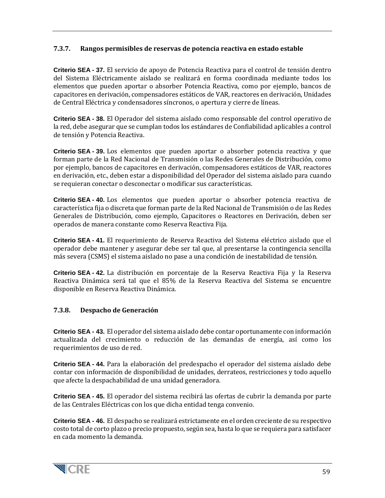## <span id="page-58-0"></span>**7.3.7. Rangos permisibles de reservas de potencia reactiva en estado estable**

**Criterio SEA - 37.** El servicio de apoyo de Potencia Reactiva para el control de tensión dentro del Sistema Eléctricamente aislado se realizará en forma coordinada mediante todos los elementos que pueden aportar o absorber Potencia Reactiva, como por ejemplo, bancos de capacitores en derivación, compensadores estáticos de VAR, reactores en derivación, Unidades de Central Eléctrica y condensadores síncronos, o apertura y cierre de líneas.

**Criterio SEA - 38.** El Operador del sistema aislado como responsable del control operativo de la red, debe asegurar que se cumplan todos los estándares de Confiabilidad aplicables a control de tensión y Potencia Reactiva.

**Criterio SEA - 39.** Los elementos que pueden aportar o absorber potencia reactiva y que forman parte de la Red Nacional de Transmisión o las Redes Generales de Distribución, como por ejemplo, bancos de capacitores en derivación, compensadores estáticos de VAR, reactores en derivación, etc., deben estar a disponibilidad del Operador del sistema aislado para cuando se requieran conectar o desconectar o modificar sus características.

**Criterio SEA - 40.** Los elementos que pueden aportar o absorber potencia reactiva de característica fija o discreta que forman parte de la Red Nacional de Transmisión o de las Redes Generales de Distribución, como ejemplo, Capacitores o Reactores en Derivación, deben ser operados de manera constante como Reserva Reactiva Fija.

**Criterio SEA - 41.** El requerimiento de Reserva Reactiva del Sistema eléctrico aislado que el operador debe mantener y asegurar debe ser tal que, al presentarse la contingencia sencilla más severa (CSMS) el sistema aislado no pase a una condición de inestabilidad de tensión.

**Criterio SEA - 42.** La distribución en porcentaje de la Reserva Reactiva Fija y la Reserva Reactiva Dinámica será tal que el 85% de la Reserva Reactiva del Sistema se encuentre disponible en Reserva Reactiva Dinámica.

#### <span id="page-58-1"></span>**7.3.8. Despacho de Generación**

**Criterio SEA - 43.** El operador del sistema aislado debe contar oportunamente con información actualizada del crecimiento o reducción de las demandas de energía, así como los requerimientos de uso de red.

**Criterio SEA - 44.** Para la elaboración del predespacho el operador del sistema aislado debe contar con información de disponibilidad de unidades, derrateos, restricciones y todo aquello que afecte la despachabilidad de una unidad generadora.

**Criterio SEA - 45.** El operador del sistema recibirá las ofertas de cubrir la demanda por parte de las Centrales Eléctricas con los que dicha entidad tenga convenio.

**Criterio SEA - 46.** El despacho se realizará estrictamente en el orden creciente de su respectivo costo total de corto plazo o precio propuesto, según sea, hasta lo que se requiera para satisfacer en cada momento la demanda.

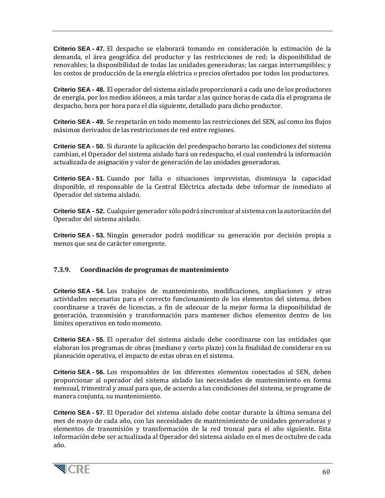**Criterio SEA - 47.** El despacho se elaborará tomando en consideración la estimación de la demanda, el área geográfica del productor y las restricciones de red; la disponibilidad de renovables; la disponibilidad de todas las unidades generadoras; las cargas interrumpibles; y los costos de producción de la energía eléctrica o precios ofertados por todos los productores.

**Criterio SEA - 48.** El operador del sistema aislado proporcionará a cada uno de los productores de energía, por los medios idóneos, a más tardar a las quince horas de cada día el programa de despacho, hora por hora para el día siguiente, detallado para dicho productor.

**Criterio SEA - 49.** Se respetarán en todo momento las restricciones del SEN, así como los flujos máximos derivados de las restricciones de red entre regiones.

**Criterio SEA - 50.** Si durante la aplicación del predespacho horario las condiciones del sistema cambian, el Operador del sistema aislado hará un redespacho, el cual contendrá la información actualizada de asignación y valor de generación de las unidades generadoras.

**Criterio SEA - 51.** Cuando por falla o situaciones imprevistas, disminuya la capacidad disponible, el responsable de la Central Eléctrica afectada debe informar de inmediato al Operador del sistema aislado.

**Criterio SEA - 52.** Cualquier generador sólo podrá sincronizar al sistema con la autorización del Operador del sistema aislado.

**Criterio SEA - 53.** Ningún generador podrá modificar su generación por decisión propia a menos que sea de carácter emergente.

#### <span id="page-59-0"></span>**7.3.9. Coordinación de programas de mantenimiento**

**Criterio SEA - 54.** Los trabajos de mantenimiento, modificaciones, ampliaciones y otras actividades necesarias para el correcto funcionamiento de los elementos del sistema, deben coordinarse a través de licencias, a fin de adecuar de la mejor forma la disponibilidad de generación, transmisión y transformación para mantener dichos elementos dentro de los límites operativos en todo momento.

**Criterio SEA - 55.** El operador del sistema aislado debe coordinarse con las entidades que elaboran los programas de obras (mediano y corto plazo) con la finalidad de considerar en su planeación operativa, el impacto de estas obras en el sistema.

**Criterio SEA - 56.** Los responsables de los diferentes elementos conectados al SEN, deben proporcionar al operador del sistema aislado las necesidades de mantenimiento en forma mensual, trimestral y anual para que, de acuerdo a las condiciones del sistema, se programe de manera conjunta, su mantenimiento.

**Criterio SEA - 57.** El Operador del sistema aislado debe contar durante la última semana del mes de mayo de cada año, con las necesidades de mantenimiento de unidades generadoras y elementos de transmisión y transformación de la red troncal para el año siguiente. Esta información debe ser actualizada al Operador del sistema aislado en el mes de octubre de cada año.

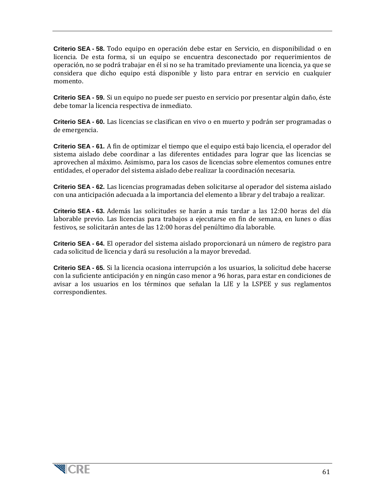**Criterio SEA - 58.** Todo equipo en operación debe estar en Servicio, en disponibilidad o en licencia. De esta forma, si un equipo se encuentra desconectado por requerimientos de operación, no se podrá trabajar en él si no se ha tramitado previamente una licencia, ya que se considera que dicho equipo está disponible y listo para entrar en servicio en cualquier momento.

**Criterio SEA - 59.** Si un equipo no puede ser puesto en servicio por presentar algún daño, éste debe tomar la licencia respectiva de inmediato.

**Criterio SEA - 60.** Las licencias se clasifican en vivo o en muerto y podrán ser programadas o de emergencia.

**Criterio SEA - 61.** A fin de optimizar el tiempo que el equipo está bajo licencia, el operador del sistema aislado debe coordinar a las diferentes entidades para lograr que las licencias se aprovechen al máximo. Asimismo, para los casos de licencias sobre elementos comunes entre entidades, el operador del sistema aislado debe realizar la coordinación necesaria.

**Criterio SEA - 62.** Las licencias programadas deben solicitarse al operador del sistema aislado con una anticipación adecuada a la importancia del elemento a librar y del trabajo a realizar.

**Criterio SEA - 63.** Además las solicitudes se harán a más tardar a las 12:00 horas del día laborable previo. Las licencias para trabajos a ejecutarse en fin de semana, en lunes o días festivos, se solicitarán antes de las 12:00 horas del penúltimo día laborable.

**Criterio SEA - 64.** El operador del sistema aislado proporcionará un número de registro para cada solicitud de licencia y dará su resolución a la mayor brevedad.

**Criterio SEA - 65.** Si la licencia ocasiona interrupción a los usuarios, la solicitud debe hacerse con la suficiente anticipación y en ningún caso menor a 96 horas, para estar en condiciones de avisar a los usuarios en los términos que señalan la LIE y la LSPEE y sus reglamentos correspondientes.